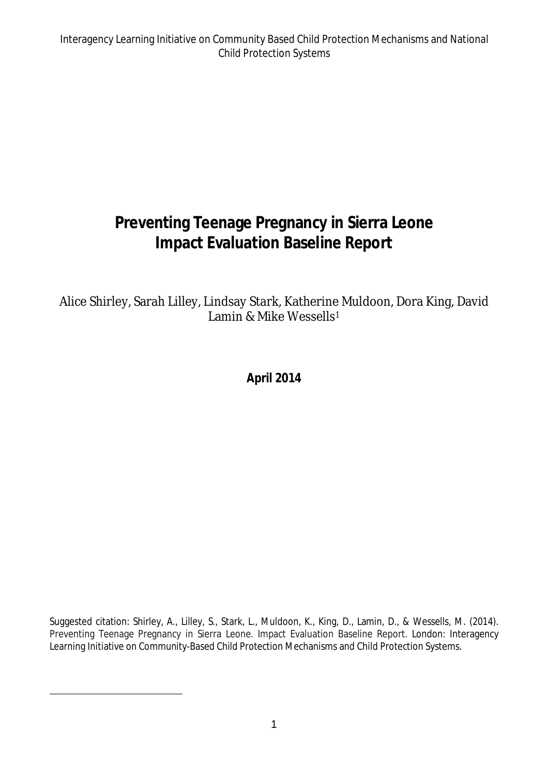## **Preventing Teenage Pregnancy in Sierra Leone Impact Evaluation Baseline Report**

Alice Shirley, Sarah Lilley, Lindsay Stark, Katherine Muldoon, Dora King, David Lamin & Mike Wessells<sup>1</sup>

**April 2014**

Suggested citation: Shirley, A., Lilley, S., Stark, L., Muldoon, K., King, D., Lamin, D., & Wessells, M. (2014). Preventing Teenage Pregnancy in Sierra Leone. Impact Evaluation Baseline Report. London: Interagency Learning Initiative on Community-Based Child Protection Mechanisms and Child Protection Systems.

 $\overline{a}$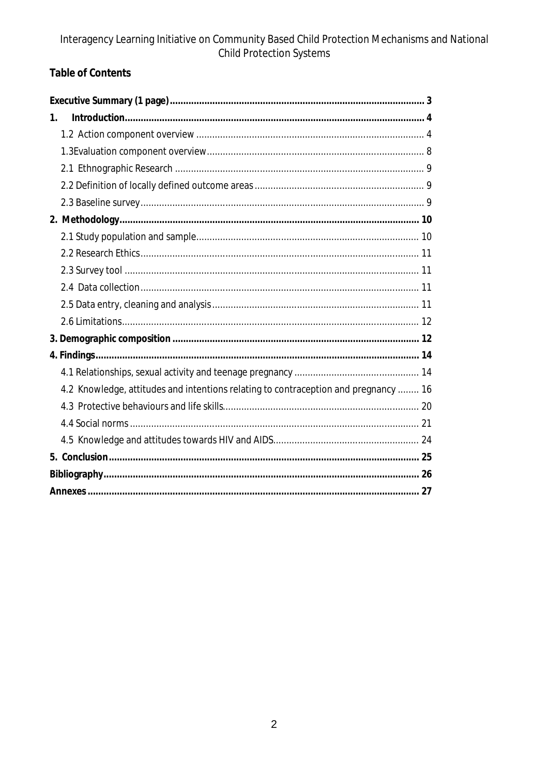### **Table of Contents**

| 1.                                                                                  |  |
|-------------------------------------------------------------------------------------|--|
|                                                                                     |  |
|                                                                                     |  |
|                                                                                     |  |
|                                                                                     |  |
|                                                                                     |  |
|                                                                                     |  |
|                                                                                     |  |
|                                                                                     |  |
|                                                                                     |  |
|                                                                                     |  |
|                                                                                     |  |
|                                                                                     |  |
|                                                                                     |  |
|                                                                                     |  |
|                                                                                     |  |
| 4.2 Knowledge, attitudes and intentions relating to contraception and pregnancy  16 |  |
|                                                                                     |  |
|                                                                                     |  |
|                                                                                     |  |
|                                                                                     |  |
|                                                                                     |  |
|                                                                                     |  |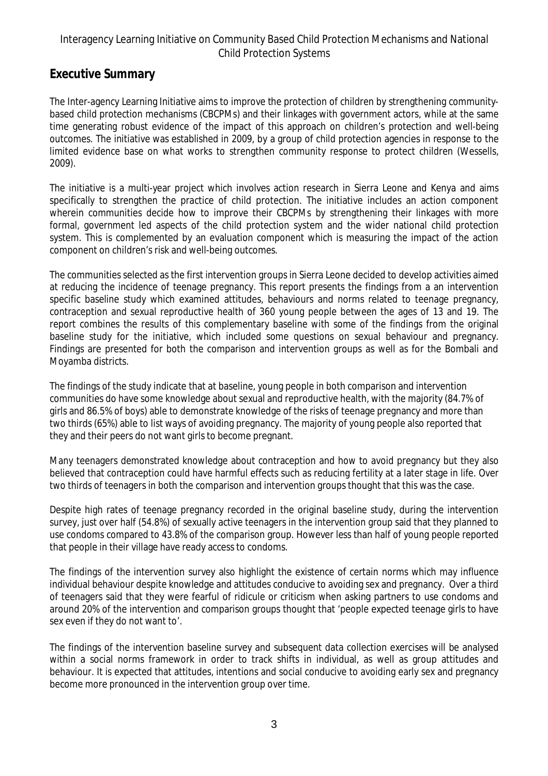### **Executive Summary**

The Inter-agency Learning Initiative aims to improve the protection of children by strengthening communitybased child protection mechanisms (CBCPMs) and their linkages with government actors, while at the same time generating robust evidence of the impact of this approach on children's protection and well-being outcomes. The initiative was established in 2009, by a group of child protection agencies in response to the limited evidence base on what works to strengthen community response to protect children (Wessells, 2009).

The initiative is a multi-year project which involves action research in Sierra Leone and Kenya and aims specifically to strengthen the practice of child protection. The initiative includes an action component wherein communities decide how to improve their CBCPMs by strengthening their linkages with more formal, government led aspects of the child protection system and the wider national child protection system. This is complemented by an evaluation component which is measuring the impact of the action component on children's risk and well-being outcomes.

The communities selected as the first intervention groups in Sierra Leone decided to develop activities aimed at reducing the incidence of teenage pregnancy. This report presents the findings from a an intervention specific baseline study which examined attitudes, behaviours and norms related to teenage pregnancy, contraception and sexual reproductive health of 360 young people between the ages of 13 and 19. The report combines the results of this complementary baseline with some of the findings from the original baseline study for the initiative, which included some questions on sexual behaviour and pregnancy. Findings are presented for both the comparison and intervention groups as well as for the Bombali and Moyamba districts.

The findings of the study indicate that at baseline, young people in both comparison and intervention communities do have some knowledge about sexual and reproductive health, with the majority (84.7% of girls and 86.5% of boys) able to demonstrate knowledge of the risks of teenage pregnancy and more than two thirds (65%) able to list ways of avoiding pregnancy. The majority of young people also reported that they and their peers do not want girls to become pregnant.

Many teenagers demonstrated knowledge about contraception and how to avoid pregnancy but they also believed that contraception could have harmful effects such as reducing fertility at a later stage in life. Over two thirds of teenagers in both the comparison and intervention groups thought that this was the case.

Despite high rates of teenage pregnancy recorded in the original baseline study, during the intervention survey, just over half (54.8%) of sexually active teenagers in the intervention group said that they planned to use condoms compared to 43.8% of the comparison group. However less than half of young people reported that people in their village have ready access to condoms.

The findings of the intervention survey also highlight the existence of certain norms which may influence individual behaviour despite knowledge and attitudes conducive to avoiding sex and pregnancy. Over a third of teenagers said that they were fearful of ridicule or criticism when asking partners to use condoms and around 20% of the intervention and comparison groups thought that 'people expected teenage girls to have sex even if they do not want to'.

The findings of the intervention baseline survey and subsequent data collection exercises will be analysed within a social norms framework in order to track shifts in individual, as well as group attitudes and behaviour. It is expected that attitudes, intentions and social conducive to avoiding early sex and pregnancy become more pronounced in the intervention group over time.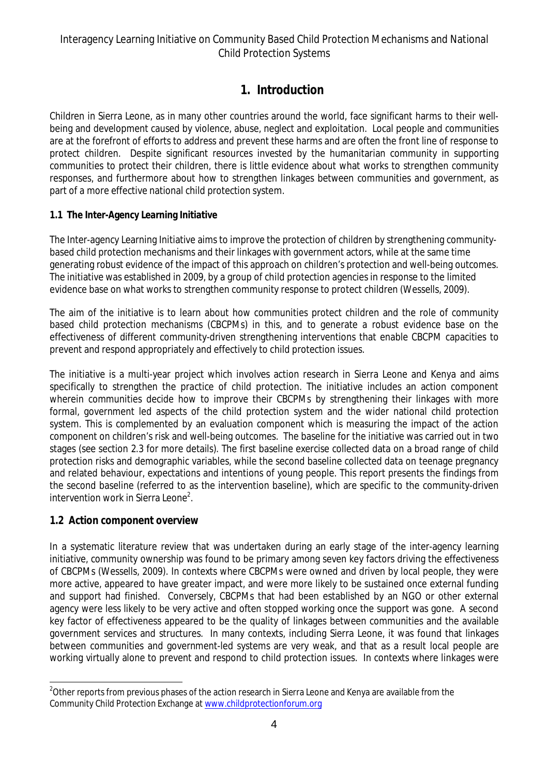### **1. Introduction**

Children in Sierra Leone, as in many other countries around the world, face significant harms to their wellbeing and development caused by violence, abuse, neglect and exploitation. Local people and communities are at the forefront of efforts to address and prevent these harms and are often the front line of response to protect children. Despite significant resources invested by the humanitarian community in supporting communities to protect their children, there is little evidence about what works to strengthen community responses, and furthermore about how to strengthen linkages between communities and government, as part of a more effective national child protection system.

### **1.1 The Inter-Agency Learning Initiative**

The Inter-agency Learning Initiative aims to improve the protection of children by strengthening communitybased child protection mechanisms and their linkages with government actors, while at the same time generating robust evidence of the impact of this approach on children's protection and well-being outcomes. The initiative was established in 2009, by a group of child protection agencies in response to the limited evidence base on what works to strengthen community response to protect children (Wessells, 2009).

The aim of the initiative is to learn about how communities protect children and the role of community based child protection mechanisms (CBCPMs) in this, and to generate a robust evidence base on the effectiveness of different community-driven strengthening interventions that enable CBCPM capacities to prevent and respond appropriately and effectively to child protection issues.

The initiative is a multi-year project which involves action research in Sierra Leone and Kenya and aims specifically to strengthen the practice of child protection. The initiative includes an action component wherein communities decide how to improve their CBCPMs by strengthening their linkages with more formal, government led aspects of the child protection system and the wider national child protection system. This is complemented by an evaluation component which is measuring the impact of the action component on children's risk and well-being outcomes. The baseline for the initiative was carried out in two stages (see section 2.3 for more details). The first baseline exercise collected data on a broad range of child protection risks and demographic variables, while the second baseline collected data on teenage pregnancy and related behaviour, expectations and intentions of young people. This report presents the findings from the second baseline (referred to as the intervention baseline), which are specific to the community-driven intervention work in Sierra Leone<sup>2</sup>.

### **1.2 Action component overview**

In a systematic literature review that was undertaken during an early stage of the inter-agency learning initiative, community ownership was found to be primary among seven key factors driving the effectiveness of CBCPMs (Wessells, 2009). In contexts where CBCPMs were owned and driven by local people, they were more active, appeared to have greater impact, and were more likely to be sustained once external funding and support had finished. Conversely, CBCPMs that had been established by an NGO or other external agency were less likely to be very active and often stopped working once the support was gone. A second key factor of effectiveness appeared to be the quality of linkages between communities and the available government services and structures. In many contexts, including Sierra Leone, it was found that linkages between communities and government-led systems are very weak, and that as a result local people are working virtually alone to prevent and respond to child protection issues. In contexts where linkages were

 $\overline{\phantom{a}}$  $^2$ Other reports from previous phases of the action research in Sierra Leone and Kenya are available from the Community Child Protection Exchange at www.childprotectionforum.org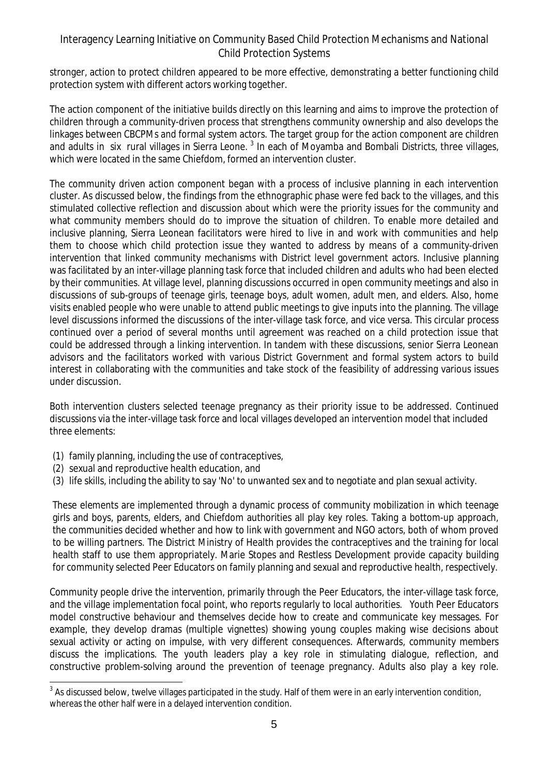stronger, action to protect children appeared to be more effective, demonstrating a better functioning child protection system with different actors working together.

The action component of the initiative builds directly on this learning and aims to improve the protection of children through a community-driven process that strengthens community ownership and also develops the linkages between CBCPMs and formal system actors. The target group for the action component are children and adults in six rural villages in Sierra Leone. <sup>3</sup> In each of Moyamba and Bombali Districts, three villages, which were located in the same Chiefdom, formed an intervention cluster.

The community driven action component began with a process of inclusive planning in each intervention cluster. As discussed below, the findings from the ethnographic phase were fed back to the villages, and this stimulated collective reflection and discussion about which were the priority issues for the community and what community members should do to improve the situation of children. To enable more detailed and inclusive planning, Sierra Leonean facilitators were hired to live in and work with communities and help them to choose which child protection issue they wanted to address by means of a community-driven intervention that linked community mechanisms with District level government actors. Inclusive planning was facilitated by an inter-village planning task force that included children and adults who had been elected by their communities. At village level, planning discussions occurred in open community meetings and also in discussions of sub-groups of teenage girls, teenage boys, adult women, adult men, and elders. Also, home visits enabled people who were unable to attend public meetings to give inputs into the planning. The village level discussions informed the discussions of the inter-village task force, and vice versa. This circular process continued over a period of several months until agreement was reached on a child protection issue that could be addressed through a linking intervention. In tandem with these discussions, senior Sierra Leonean advisors and the facilitators worked with various District Government and formal system actors to build interest in collaborating with the communities and take stock of the feasibility of addressing various issues under discussion.

Both intervention clusters selected teenage pregnancy as their priority issue to be addressed. Continued discussions via the inter-village task force and local villages developed an intervention model that included three elements:

- (1) family planning, including the use of contraceptives,
- (2) sexual and reproductive health education, and
- (3) life skills, including the ability to say 'No' to unwanted sex and to negotiate and plan sexual activity.

These elements are implemented through a dynamic process of community mobilization in which teenage girls and boys, parents, elders, and Chiefdom authorities all play key roles. Taking a bottom-up approach, the communities decided whether and how to link with government and NGO actors, both of whom proved to be willing partners. The District Ministry of Health provides the contraceptives and the training for local health staff to use them appropriately. Marie Stopes and Restless Development provide capacity building for community selected Peer Educators on family planning and sexual and reproductive health, respectively.

Community people drive the intervention, primarily through the Peer Educators, the inter-village task force, and the village implementation focal point, who reports regularly to local authorities. Youth Peer Educators model constructive behaviour and themselves decide how to create and communicate key messages. For example, they develop dramas (multiple vignettes) showing young couples making wise decisions about sexual activity or acting on impulse, with very different consequences. Afterwards, community members discuss the implications. The youth leaders play a key role in stimulating dialogue, reflection, and constructive problem-solving around the prevention of teenage pregnancy. Adults also play a key role.

 $\overline{a}$  $^3$  As discussed below, twelve villages participated in the study. Half of them were in an early intervention condition, whereas the other half were in a delayed intervention condition.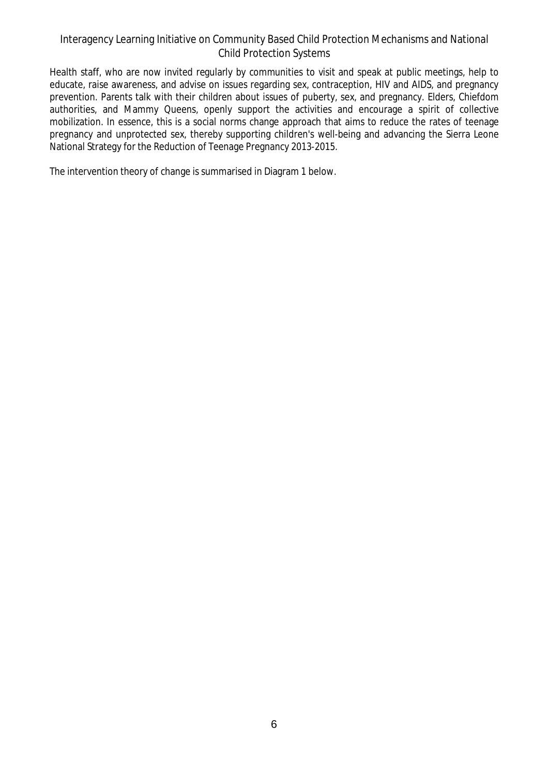Health staff, who are now invited regularly by communities to visit and speak at public meetings, help to educate, raise awareness, and advise on issues regarding sex, contraception, HIV and AIDS, and pregnancy prevention. Parents talk with their children about issues of puberty, sex, and pregnancy. Elders, Chiefdom authorities, and Mammy Queens, openly support the activities and encourage a spirit of collective mobilization. In essence, this is a social norms change approach that aims to reduce the rates of teenage pregnancy and unprotected sex, thereby supporting children's well-being and advancing the Sierra Leone National Strategy for the Reduction of Teenage Pregnancy 2013-2015.

The intervention theory of change is summarised in Diagram 1 below.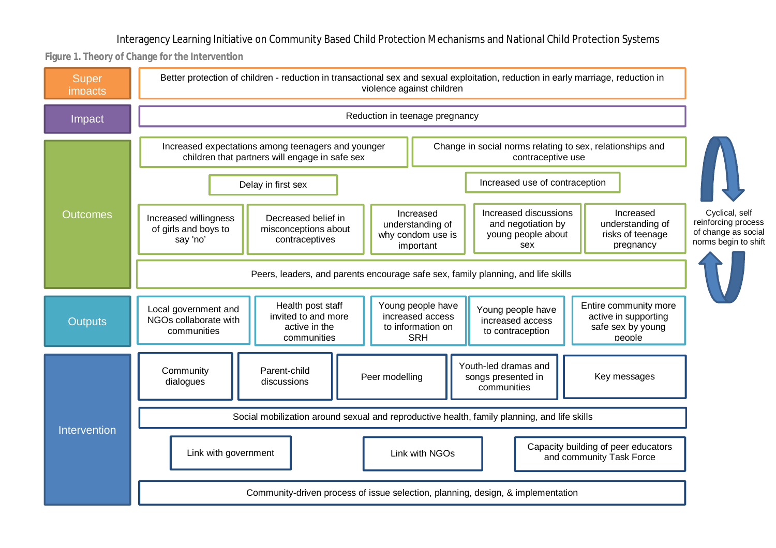**Figure 1. Theory of Change for the Intervention**

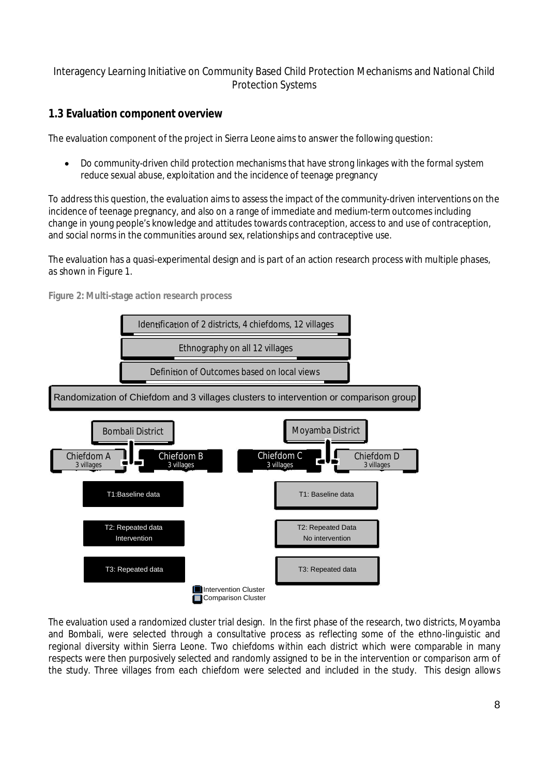### **1.3 Evaluation component overview**

The evaluation component of the project in Sierra Leone aims to answer the following question:

 Do community-driven child protection mechanisms that have strong linkages with the formal system reduce sexual abuse, exploitation and the incidence of teenage pregnancy

To address this question, the evaluation aims to assess the impact of the community-driven interventions on the incidence of teenage pregnancy, and also on a range of immediate and medium-term outcomes including change in young people's knowledge and attitudes towards contraception, access to and use of contraception, and social norms in the communities around sex, relationships and contraceptive use.

The evaluation has a quasi-experimental design and is part of an action research process with multiple phases, as shown in Figure 1.



**Figure 2: Multi-stage action research process**

The evaluation used a randomized cluster trial design. In the first phase of the research, two districts, Moyamba and Bombali, were selected through a consultative process as reflecting some of the ethno-linguistic and regional diversity within Sierra Leone. Two chiefdoms within each district which were comparable in many respects were then purposively selected and randomly assigned to be in the intervention or comparison arm of the study. Three villages from each chiefdom were selected and included in the study. This design allows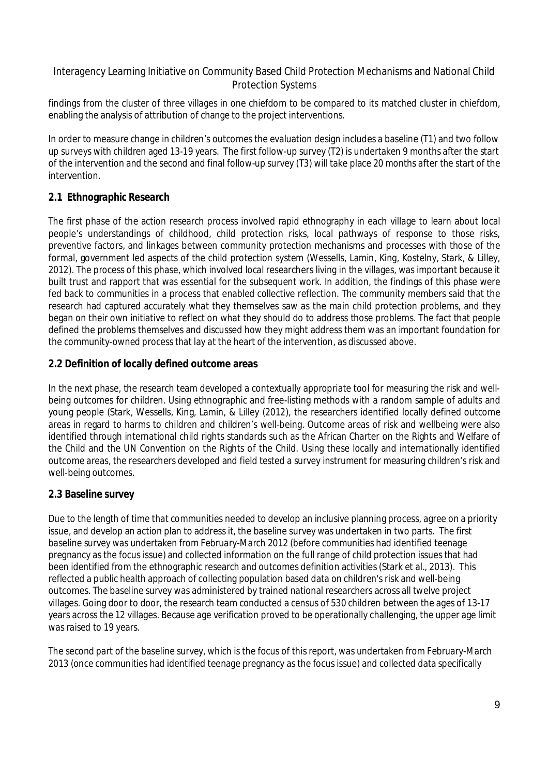findings from the cluster of three villages in one chiefdom to be compared to its matched cluster in chiefdom, enabling the analysis of attribution of change to the project interventions.

In order to measure change in children's outcomes the evaluation design includes a baseline (T1) and two follow up surveys with children aged 13-19 years. The first follow-up survey (T2) is undertaken 9 months after the start of the intervention and the second and final follow-up survey (T3) will take place 20 months after the start of the intervention.

### **2.1 Ethnographic Research**

The first phase of the action research process involved rapid ethnography in each village to learn about local people's understandings of childhood, child protection risks, local pathways of response to those risks, preventive factors, and linkages between community protection mechanisms and processes with those of the formal, government led aspects of the child protection system (Wessells, Lamin, King, Kostelny, Stark, & Lilley, 2012). The process of this phase, which involved local researchers living in the villages, was important because it built trust and rapport that was essential for the subsequent work. In addition, the findings of this phase were fed back to communities in a process that enabled collective reflection. The community members said that the research had captured accurately what they themselves saw as the main child protection problems, and they began on their own initiative to reflect on what they should do to address those problems. The fact that people defined the problems themselves and discussed how they might address them was an important foundation for the community-owned process that lay at the heart of the intervention, as discussed above.

#### **2.2 Definition of locally defined outcome areas**

In the next phase, the research team developed a contextually appropriate tool for measuring the risk and wellbeing outcomes for children. Using ethnographic and free-listing methods with a random sample of adults and young people (Stark, Wessells, King, Lamin, & Lilley (2012), the researchers identified locally defined outcome areas in regard to harms to children and children's well-being. Outcome areas of risk and wellbeing were also identified through international child rights standards such as the African Charter on the Rights and Welfare of the Child and the UN Convention on the Rights of the Child. Using these locally and internationally identified outcome areas, the researchers developed and field tested a survey instrument for measuring children's risk and well-being outcomes.

### **2.3 Baseline survey**

Due to the length of time that communities needed to develop an inclusive planning process, agree on a priority issue, and develop an action plan to address it, the baseline survey was undertaken in two parts. The first baseline survey was undertaken from February-March 2012 (before communities had identified teenage pregnancy as the focus issue) and collected information on the full range of child protection issues that had been identified from the ethnographic research and outcomes definition activities (Stark et al., 2013). This reflected a public health approach of collecting population based data on children's risk and well-being outcomes. The baseline survey was administered by trained national researchers across all twelve project villages. Going door to door, the research team conducted a census of 530 children between the ages of 13-17 years across the 12 villages. Because age verification proved to be operationally challenging, the upper age limit was raised to 19 years.

The second part of the baseline survey, which is the focus of this report, was undertaken from February-March 2013 (once communities had identified teenage pregnancy as the focus issue) and collected data specifically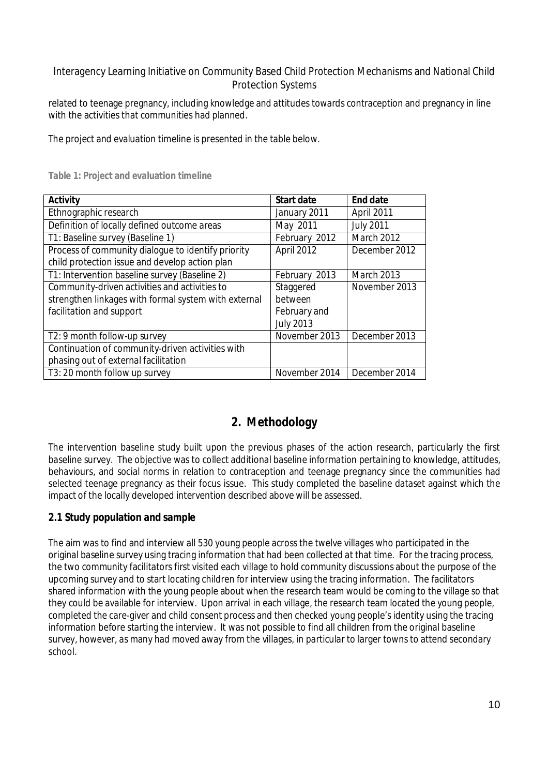related to teenage pregnancy, including knowledge and attitudes towards contraception and pregnancy in line with the activities that communities had planned.

The project and evaluation timeline is presented in the table below.

| <b>Activity</b>                                      | <b>Start date</b> | <b>End date</b>   |
|------------------------------------------------------|-------------------|-------------------|
| Ethnographic research                                | January 2011      | April 2011        |
| Definition of locally defined outcome areas          | May 2011          | <b>July 2011</b>  |
| T1: Baseline survey (Baseline 1)                     | February 2012     | <b>March 2012</b> |
| Process of community dialogue to identify priority   | April 2012        | December 2012     |
| child protection issue and develop action plan       |                   |                   |
| T1: Intervention baseline survey (Baseline 2)        | February 2013     | <b>March 2013</b> |
| Community-driven activities and activities to        | Staggered         | November 2013     |
| strengthen linkages with formal system with external | between           |                   |
| facilitation and support                             | February and      |                   |
|                                                      | <b>July 2013</b>  |                   |
| T2: 9 month follow-up survey                         | November 2013     | December 2013     |
| Continuation of community-driven activities with     |                   |                   |
| phasing out of external facilitation                 |                   |                   |
| T3: 20 month follow up survey                        | November 2014     | December 2014     |

**Table 1: Project and evaluation timeline**

### **2. Methodology**

The intervention baseline study built upon the previous phases of the action research, particularly the first baseline survey. The objective was to collect additional baseline information pertaining to knowledge, attitudes, behaviours, and social norms in relation to contraception and teenage pregnancy since the communities had selected teenage pregnancy as their focus issue. This study completed the baseline dataset against which the impact of the locally developed intervention described above will be assessed.

### **2.1 Study population and sample**

The aim was to find and interview all 530 young people across the twelve villages who participated in the original baseline survey using tracing information that had been collected at that time. For the tracing process, the two community facilitators first visited each village to hold community discussions about the purpose of the upcoming survey and to start locating children for interview using the tracing information. The facilitators shared information with the young people about when the research team would be coming to the village so that they could be available for interview. Upon arrival in each village, the research team located the young people, completed the care-giver and child consent process and then checked young people's identity using the tracing information before starting the interview. It was not possible to find all children from the original baseline survey, however, as many had moved away from the villages, in particular to larger towns to attend secondary school.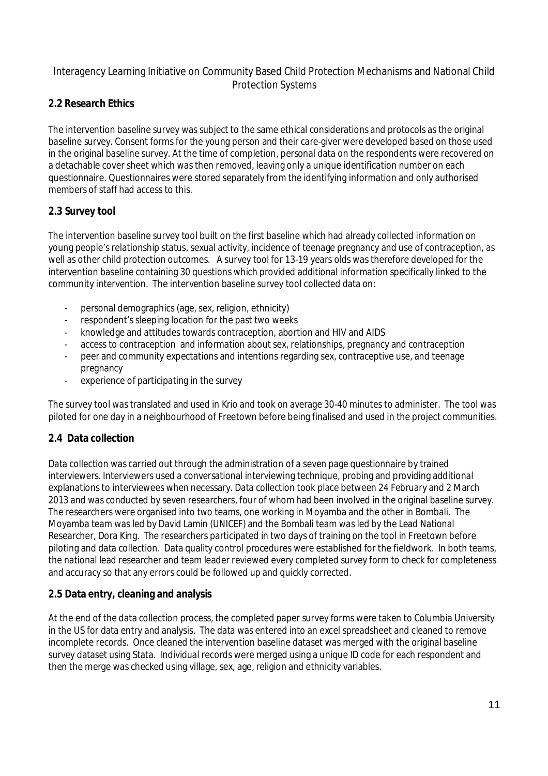### **2.2 Research Ethics**

The intervention baseline survey was subject to the same ethical considerations and protocols as the original baseline survey. Consent forms for the young person and their care-giver were developed based on those used in the original baseline survey. At the time of completion, personal data on the respondents were recovered on a detachable cover sheet which was then removed, leaving only a unique identification number on each questionnaire. Questionnaires were stored separately from the identifying information and only authorised members of staff had access to this.

### **2.3 Survey tool**

The intervention baseline survey tool built on the first baseline which had already collected information on young people's relationship status, sexual activity, incidence of teenage pregnancy and use of contraception, as well as other child protection outcomes. A survey tool for 13-19 years olds was therefore developed for the intervention baseline containing 30 questions which provided additional information specifically linked to the community intervention. The intervention baseline survey tool collected data on:

- personal demographics (age, sex, religion, ethnicity)
- respondent's sleeping location for the past two weeks
- knowledge and attitudes towards contraception, abortion and HIV and AIDS
- access to contraception and information about sex, relationships, pregnancy and contraception
- peer and community expectations and intentions regarding sex, contraceptive use, and teenage pregnancy
- experience of participating in the survey

The survey tool was translated and used in Krio and took on average 30-40 minutes to administer. The tool was piloted for one day in a neighbourhood of Freetown before being finalised and used in the project communities.

### **2.4 Data collection**

Data collection was carried out through the administration of a seven page questionnaire by trained interviewers. Interviewers used a conversational interviewing technique, probing and providing additional explanations to interviewees when necessary. Data collection took place between 24 February and 2 March 2013 and was conducted by seven researchers, four of whom had been involved in the original baseline survey. The researchers were organised into two teams, one working in Moyamba and the other in Bombali. The Moyamba team was led by David Lamin (UNICEF) and the Bombali team was led by the Lead National Researcher, Dora King. The researchers participated in two days of training on the tool in Freetown before piloting and data collection. Data quality control procedures were established for the fieldwork. In both teams, the national lead researcher and team leader reviewed every completed survey form to check for completeness and accuracy so that any errors could be followed up and quickly corrected.

### **2.5 Data entry, cleaning and analysis**

At the end of the data collection process, the completed paper survey forms were taken to Columbia University in the US for data entry and analysis. The data was entered into an excel spreadsheet and cleaned to remove incomplete records. Once cleaned the intervention baseline dataset was merged with the original baseline survey dataset using Stata. Individual records were merged using a unique ID code for each respondent and then the merge was checked using village, sex, age, religion and ethnicity variables.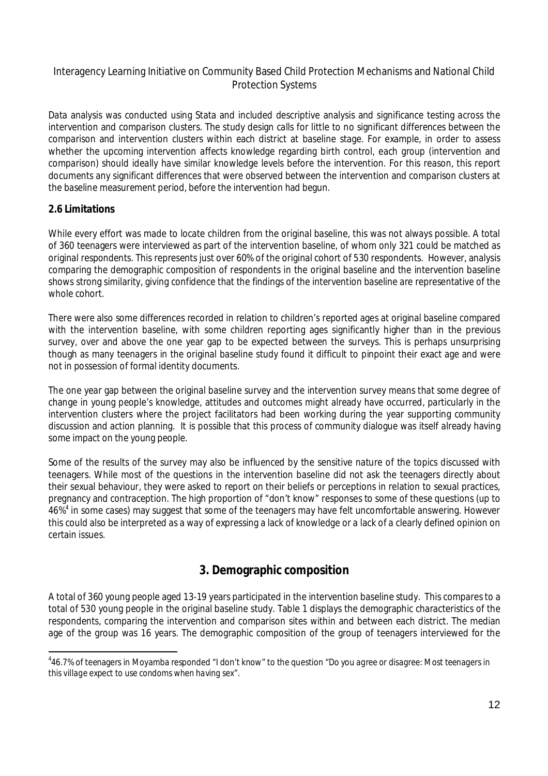Data analysis was conducted using Stata and included descriptive analysis and significance testing across the intervention and comparison clusters. The study design calls for little to no significant differences between the comparison and intervention clusters within each district at baseline stage. For example, in order to assess whether the upcoming intervention affects knowledge regarding birth control, each group (intervention and comparison) should ideally have similar knowledge levels before the intervention. For this reason, this report documents any significant differences that were observed between the intervention and comparison clusters at the baseline measurement period, before the intervention had begun.

### **2.6 Limitations**

While every effort was made to locate children from the original baseline, this was not always possible. A total of 360 teenagers were interviewed as part of the intervention baseline, of whom only 321 could be matched as original respondents. This represents just over 60% of the original cohort of 530 respondents. However, analysis comparing the demographic composition of respondents in the original baseline and the intervention baseline shows strong similarity, giving confidence that the findings of the intervention baseline are representative of the whole cohort.

There were also some differences recorded in relation to children's reported ages at original baseline compared with the intervention baseline, with some children reporting ages significantly higher than in the previous survey, over and above the one year gap to be expected between the surveys. This is perhaps unsurprising though as many teenagers in the original baseline study found it difficult to pinpoint their exact age and were not in possession of formal identity documents.

The one year gap between the original baseline survey and the intervention survey means that some degree of change in young people's knowledge, attitudes and outcomes might already have occurred, particularly in the intervention clusters where the project facilitators had been working during the year supporting community discussion and action planning. It is possible that this process of community dialogue was itself already having some impact on the young people.

Some of the results of the survey may also be influenced by the sensitive nature of the topics discussed with teenagers. While most of the questions in the intervention baseline did not ask the teenagers directly about their sexual behaviour, they were asked to report on their beliefs or perceptions in relation to sexual practices, pregnancy and contraception. The high proportion of "don't know" responses to some of these questions (up to 46% 4 in some cases) may suggest that some of the teenagers may have felt uncomfortable answering. However this could also be interpreted as a way of expressing a lack of knowledge or a lack of a clearly defined opinion on certain issues.

### **3. Demographic composition**

A total of 360 young people aged 13-19 years participated in the intervention baseline study. This comparesto a total of 530 young people in the original baseline study. Table 1 displays the demographic characteristics of the respondents, comparing the intervention and comparison sites within and between each district. The median age of the group was 16 years. The demographic composition of the group of teenagers interviewed for the

 4 46.7% of teenagers in Moyamba responded "I don't know" to the question "*Do you agree or disagree: Most teenagers in this village expect to use condoms when having sex*".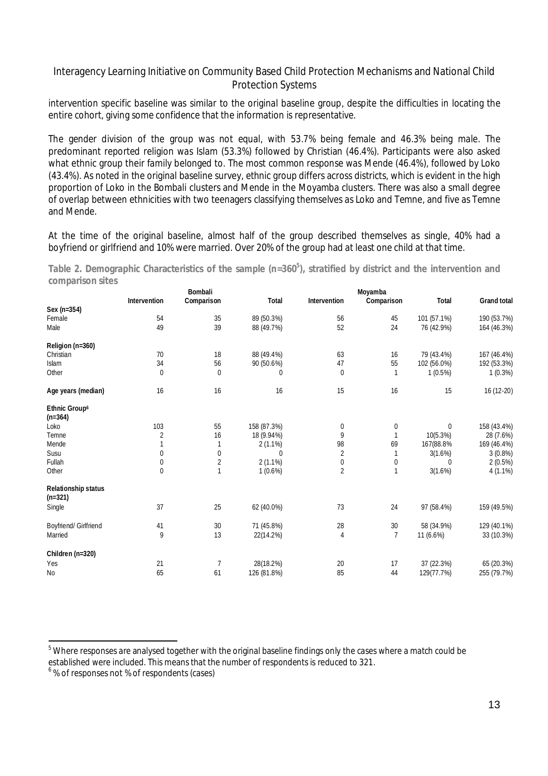intervention specific baseline was similar to the original baseline group, despite the difficulties in locating the entire cohort, giving some confidence that the information is representative.

The gender division of the group was not equal, with 53.7% being female and 46.3% being male. The predominant reported religion was Islam (53.3%) followed by Christian (46.4%). Participants were also asked what ethnic group their family belonged to. The most common response was Mende (46.4%), followed by Loko (43.4%). As noted in the original baseline survey, ethnic group differs across districts, which is evident in the high proportion of Loko in the Bombali clusters and Mende in the Moyamba clusters. There was also a small degree of overlap between ethnicities with two teenagers classifying themselves as Loko and Temne, and five as Temne and Mende.

At the time of the original baseline, almost half of the group described themselves as single, 40% had a boyfriend or girlfriend and 10% were married. Over 20% of the group had at least one child at that time.

**Table 2. Demographic Characteristics of the sample (n=360<sup>5</sup> ), stratified by district and the intervention and comparison sites**

|                                         |                | <b>Bombali</b> |              |                     | Moyamba        |              |                    |
|-----------------------------------------|----------------|----------------|--------------|---------------------|----------------|--------------|--------------------|
|                                         | Intervention   | Comparison     | <b>Total</b> | <b>Intervention</b> | Comparison     | <b>Total</b> | <b>Grand total</b> |
| Sex (n=354)                             |                |                |              |                     |                |              |                    |
| Female                                  | 54             | 35             | 89 (50.3%)   | 56                  | 45             | 101 (57.1%)  | 190 (53.7%)        |
| Male                                    | 49             | 39             | 88 (49.7%)   | 52                  | 24             | 76 (42.9%)   | 164 (46.3%)        |
| Religion (n=360)                        |                |                |              |                     |                |              |                    |
| Christian                               | 70             | 18             | 88 (49.4%)   | 63                  | 16             | 79 (43.4%)   | 167 (46.4%)        |
| Islam                                   | 34             | 56             | 90 (50.6%)   | 47                  | 55             | 102 (56.0%)  | 192 (53.3%)        |
| Other                                   | $\bf{0}$       | $\bf{0}$       | 0            | $\mathbf 0$         | 1              | $1(0.5\%)$   | $1(0.3\%)$         |
| Age years (median)                      | 16             | 16             | 16           | 15                  | 16             | 15           | 16 (12-20)         |
| <b>Ethnic Group6</b><br>$(n=364)$       |                |                |              |                     |                |              |                    |
| Loko                                    | 103            | 55             | 158 (87.3%)  | 0                   | 0              | $\mathbf{0}$ | 158 (43.4%)        |
| Temne                                   | $\overline{c}$ | 16             | 18 (9.94%)   | 9                   | $\mathbf{1}$   | 10(5.3%)     | 28 (7.6%)          |
| Mende                                   | 1              | $\mathbf{1}$   | $2(1.1\%)$   | 98                  | 69             | 167(88.8%    | 169 (46.4%)        |
| Susu                                    | $\pmb{0}$      | $\pmb{0}$      | $\theta$     | 2                   | 1              | 3(1.6%)      | 3(0.8%)            |
| Fullah                                  | $\pmb{0}$      | $\sqrt{2}$     | $2(1.1\%)$   | 0                   | 0              | $\theta$     | 2(0.5%)            |
| Other                                   | $\mathbf{0}$   | $\mathbf{1}$   | $1(0.6\%)$   | $\overline{2}$      | 1              | 3(1.6%)      | $4(1.1\%)$         |
| <b>Relationship status</b><br>$(n=321)$ |                |                |              |                     |                |              |                    |
| Single                                  | 37             | 25             | 62 (40.0%)   | 73                  | 24             | 97 (58.4%)   | 159 (49.5%)        |
| Boyfriend/ Girlfriend                   | 41             | 30             | 71 (45.8%)   | 28                  | 30             | 58 (34.9%)   | 129 (40.1%)        |
| Married                                 | 9              | 13             | 22(14.2%)    | 4                   | $\overline{7}$ | 11 (6.6%)    | 33 (10.3%)         |
| Children (n=320)                        |                |                |              |                     |                |              |                    |
| Yes                                     | 21             | $\overline{1}$ | 28(18.2%)    | 20                  | 17             | 37 (22.3%)   | 65 (20.3%)         |
| <b>No</b>                               | 65             | 61             | 126 (81.8%)  | 85                  | 44             | 129(77.7%)   | 255 (79.7%)        |
|                                         |                |                |              |                     |                |              |                    |

<sup>&</sup>lt;sup>5</sup> Where responses are analysed together with the original baseline findings only the cases where a match could be

established were included. This means that the number of respondents is reduced to 321.

<sup>&</sup>lt;sup>6</sup>% of responses not % of respondents (cases)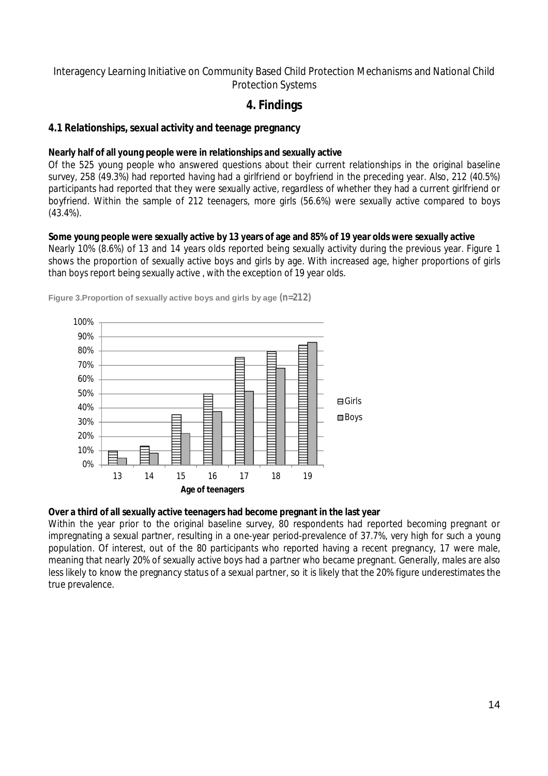### **4. Findings**

### **4.1 Relationships, sexual activity and teenage pregnancy**

#### **Nearly half of all young people were in relationships and sexually active**

Of the 525 young people who answered questions about their current relationships in the original baseline survey, 258 (49.3%) had reported having had a girlfriend or boyfriend in the preceding year. Also, 212 (40.5%) participants had reported that they were sexually active, regardless of whether they had a current girlfriend or boyfriend. Within the sample of 212 teenagers, more girls (56.6%) were sexually active compared to boys (43.4%).

#### **Some young people were sexually active by 13 years of age and 85% of 19 year olds were sexually active**

Nearly 10% (8.6%) of 13 and 14 years olds reported being sexually activity during the previous year. Figure 1 shows the proportion of sexually active boys and girls by age. With increased age, higher proportions of girls than boys report being sexually active , with the exception of 19 year olds.



**Figure 3.Proportion of sexually active boys and girls by age (n=212)**

#### **Over a third of all sexually active teenagers had become pregnant in the last year**

Within the year prior to the original baseline survey, 80 respondents had reported becoming pregnant or impregnating a sexual partner, resulting in a one-year period-prevalence of 37.7%, very high for such a young population. Of interest, out of the 80 participants who reported having a recent pregnancy, 17 were male, meaning that nearly 20% of sexually active boys had a partner who became pregnant. Generally, males are also less likely to know the pregnancy status of a sexual partner, so it is likely that the 20% figure underestimates the true prevalence.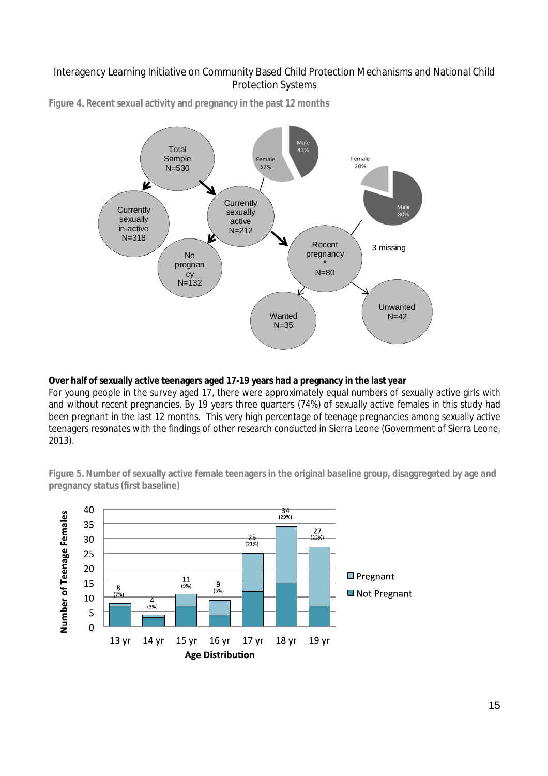

**Figure 4. Recent sexual activity and pregnancy in the past 12 months**

#### **Over half of sexually active teenagers aged 17-19 years had a pregnancy in the last year**

For young people in the survey aged 17, there were approximately equal numbers of sexually active girls with and without recent pregnancies. By 19 years three quarters (74%) of sexually active females in this study had been pregnant in the last 12 months. This very high percentage of teenage pregnancies among sexually active teenagers resonates with the findings of other research conducted in Sierra Leone (Government of Sierra Leone, 2013).

**Figure 5. Number of sexually active female teenagers in the original baseline group, disaggregated by age and pregnancy status (first baseline)**

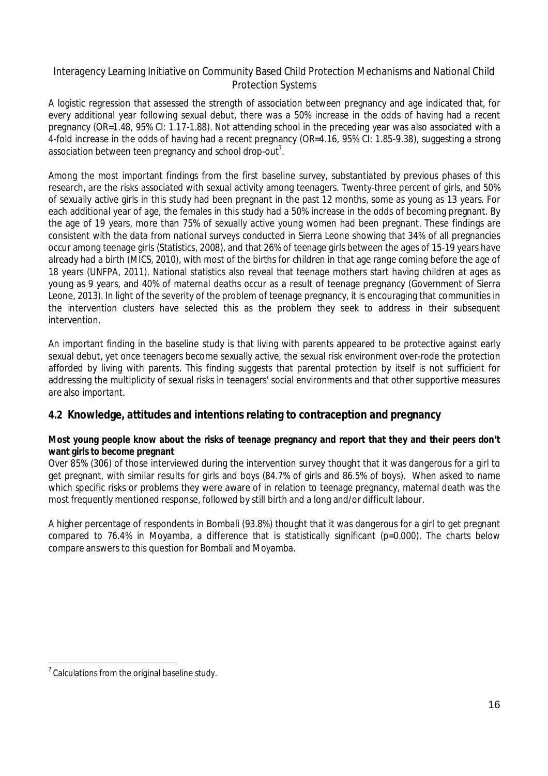A logistic regression that assessed the strength of association between pregnancy and age indicated that, for every additional year following sexual debut, there was a 50% increase in the odds of having had a recent pregnancy (OR=1.48, 95% CI: 1.17-1.88). Not attending school in the preceding year was also associated with a 4-fold increase in the odds of having had a recent pregnancy (OR=4.16, 95% CI: 1.85-9.38), suggesting a strong association between teen pregnancy and school drop-out $^7\!$ .

Among the most important findings from the first baseline survey, substantiated by previous phases of this research, are the risks associated with sexual activity among teenagers. Twenty-three percent of girls, and 50% of sexually active girls in this study had been pregnant in the past 12 months, some as young as 13 years. For each additional year of age, the females in this study had a 50% increase in the odds of becoming pregnant. By the age of 19 years, more than 75% of sexually active young women had been pregnant. These findings are consistent with the data from national surveys conducted in Sierra Leone showing that 34% of all pregnancies occur among teenage girls (Statistics, 2008), and that 26% of teenage girls between the ages of 15-19 years have already had a birth (MICS, 2010), with most of the births for children in that age range coming before the age of 18 years (UNFPA, 2011). National statistics also reveal that teenage mothers start having children at ages as young as 9 years, and 40% of maternal deaths occur as a result of teenage pregnancy (Government of Sierra Leone, 2013). In light of the severity of the problem of teenage pregnancy, it is encouraging that communities in the intervention clusters have selected this as the problem they seek to address in their subsequent intervention.

An important finding in the baseline study is that living with parents appeared to be protective against early sexual debut, yet once teenagers become sexually active, the sexual risk environment over-rode the protection afforded by living with parents. This finding suggests that parental protection by itself is not sufficient for addressing the multiplicity of sexual risks in teenagers' social environments and that other supportive measures are also important.

### **4.2 Knowledge, attitudes and intentions relating to contraception and pregnancy**

#### **Most young people know about the risks of teenage pregnancy and report that they and their peers don't want girls to become pregnant**

Over 85% (306) of those interviewed during the intervention survey thought that it was dangerous for a girl to get pregnant, with similar results for girls and boys (84.7% of girls and 86.5% of boys). When asked to name which specific risks or problems they were aware of in relation to teenage pregnancy, maternal death was the most frequently mentioned response, followed by still birth and a long and/or difficult labour.

A higher percentage of respondents in Bombali (93.8%) thought that it was dangerous for a girl to get pregnant compared to 76.4% in Moyamba, a difference that is statistically significant (p=0.000). The charts below compare answers to this question for Bombali and Moyamba.

  $7$  Calculations from the original baseline study.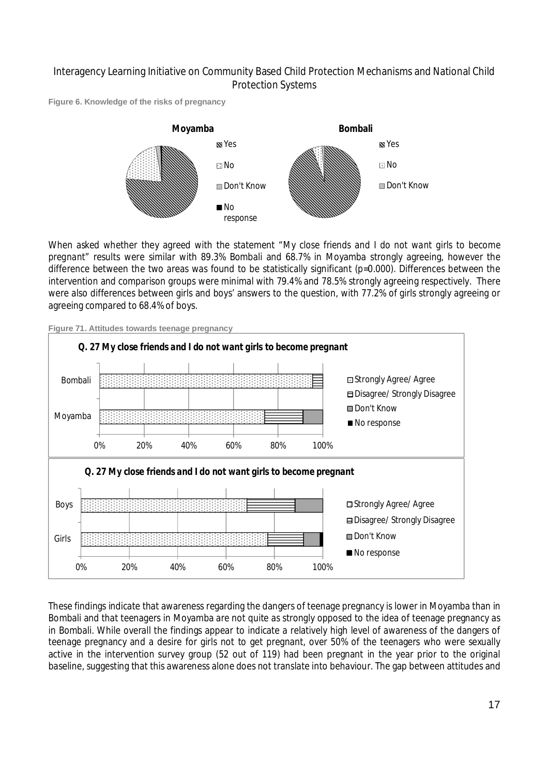**Figure 6. Knowledge of the risks of pregnancy**



When asked whether they agreed with the statement *"My close friends and I do not want girls to become pregnant"* results were similar with 89.3% Bombali and 68.7% in Moyamba strongly agreeing, however the difference between the two areas was found to be statistically significant (p=0.000). Differences between the intervention and comparison groups were minimal with 79.4% and 78.5% strongly agreeing respectively. There were also differences between girls and boys' answers to the question, with 77.2% of girls strongly agreeing or agreeing compared to 68.4% of boys.



**Figure 71. Attitudes towards teenage pregnancy**

These findings indicate that awareness regarding the dangers of teenage pregnancy is lower in Moyamba than in Bombali and that teenagers in Moyamba are not quite as strongly opposed to the idea of teenage pregnancy as in Bombali. While overall the findings appear to indicate a relatively high level of awareness of the dangers of teenage pregnancy and a desire for girls not to get pregnant, over 50% of the teenagers who were sexually active in the intervention survey group (52 out of 119) had been pregnant in the year prior to the original baseline, suggesting that this awareness alone does not translate into behaviour. The gap between attitudes and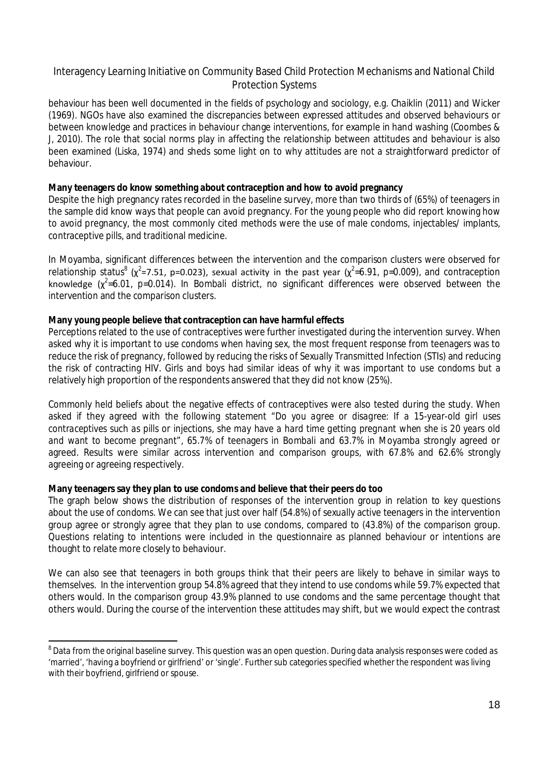behaviour has been well documented in the fields of psychology and sociology, e.g. Chaiklin (2011) and Wicker (1969). NGOs have also examined the discrepancies between expressed attitudes and observed behaviours or between knowledge and practices in behaviour change interventions, for example in hand washing (Coombes & J, 2010). The role that social norms play in affecting the relationship between attitudes and behaviour is also been examined (Liska, 1974) and sheds some light on to why attitudes are not a straightforward predictor of behaviour.

#### **Many teenagers do know something about contraception and how to avoid pregnancy**

Despite the high pregnancy rates recorded in the baseline survey, more than two thirds of (65%) of teenagers in the sample did know ways that people can avoid pregnancy. For the young people who did report knowing how to avoid pregnancy, the most commonly cited methods were the use of male condoms, injectables/ implants, contraceptive pills, and traditional medicine.

In Moyamba, significant differences between the intervention and the comparison clusters were observed for relationship status $^8$  (x<sup>2</sup>=7.51, p=0.023), sexual activity in the past year (x<sup>2</sup>=6.91, p=0.009), and contraception knowledge ( $\chi^2$ =6.01, p=0.014). In Bombali district, no significant differences were observed between the intervention and the comparison clusters.

#### **Many young people believe that contraception can have harmful effects**

Perceptions related to the use of contraceptives were further investigated during the intervention survey. When asked why it is important to use condoms when having sex, the most frequent response from teenagers was to reduce the risk of pregnancy, followed by reducing the risks of Sexually Transmitted Infection (STIs) and reducing the risk of contracting HIV. Girls and boys had similar ideas of why it was important to use condoms but a relatively high proportion of the respondents answered that they did not know (25%).

Commonly held beliefs about the negative effects of contraceptives were also tested during the study. When asked if they agreed with the following statement *"Do you agree or disagree: If a 15-year-old girl uses contraceptives such as pills or injections, she may have a hard time getting pregnant when she is 20 years old and want to become pregnant"*, 65.7% of teenagers in Bombali and 63.7% in Moyamba strongly agreed or agreed. Results were similar across intervention and comparison groups, with 67.8% and 62.6% strongly agreeing or agreeing respectively.

#### **Many teenagers say they plan to use condoms and believe that their peers do too**

The graph below shows the distribution of responses of the intervention group in relation to key questions about the use of condoms. We can see that just over half (54.8%) of sexually active teenagers in the intervention group agree or strongly agree that they plan to use condoms, compared to (43.8%) of the comparison group. Questions relating to intentions were included in the questionnaire as planned behaviour or intentions are thought to relate more closely to behaviour.

We can also see that teenagers in both groups think that their peers are likely to behave in similar ways to themselves. In the intervention group 54.8% agreed that they intend to use condoms while 59.7% expected that others would. In the comparison group 43.9% planned to use condoms and the same percentage thought that others would. During the course of the intervention these attitudes may shift, but we would expect the contrast

  $^8$  Data from the original baseline survey. This question was an open question. During data analysis responses were coded as 'married', 'having a boyfriend or girlfriend' or 'single'. Further sub categories specified whether the respondent was living with their boyfriend, girlfriend or spouse.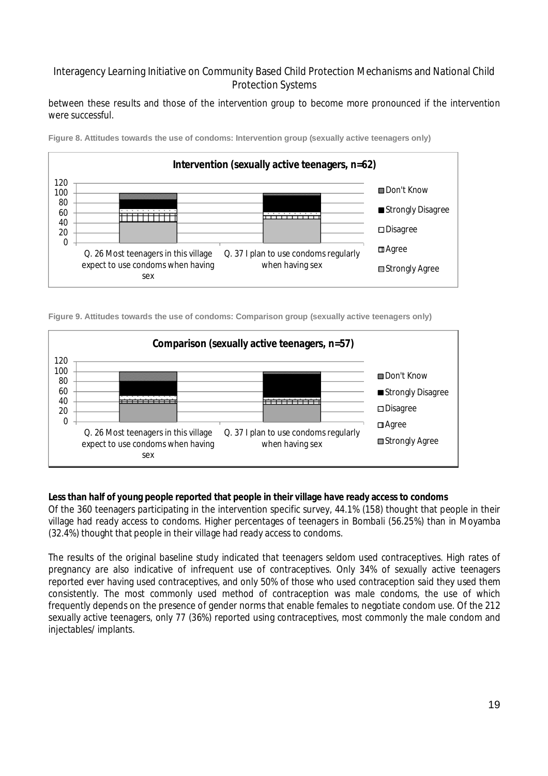between these results and those of the intervention group to become more pronounced if the intervention were successful.



**Figure 8. Attitudes towards the use of condoms: Intervention group (sexually active teenagers only)**

**Figure 9. Attitudes towards the use of condoms: Comparison group (sexually active teenagers only)**



#### **Less than half of young people reported that people in their village have ready access to condoms**

Of the 360 teenagers participating in the intervention specific survey, 44.1% (158) thought that people in their village had ready access to condoms. Higher percentages of teenagers in Bombali (56.25%) than in Moyamba (32.4%) thought that people in their village had ready access to condoms.

The results of the original baseline study indicated that teenagers seldom used contraceptives. High rates of pregnancy are also indicative of infrequent use of contraceptives. Only 34% of sexually active teenagers reported ever having used contraceptives, and only 50% of those who used contraception said they used them consistently. The most commonly used method of contraception was male condoms, the use of which frequently depends on the presence of gender norms that enable females to negotiate condom use. Of the 212 sexually active teenagers, only 77 (36%) reported using contraceptives, most commonly the male condom and injectables/ implants.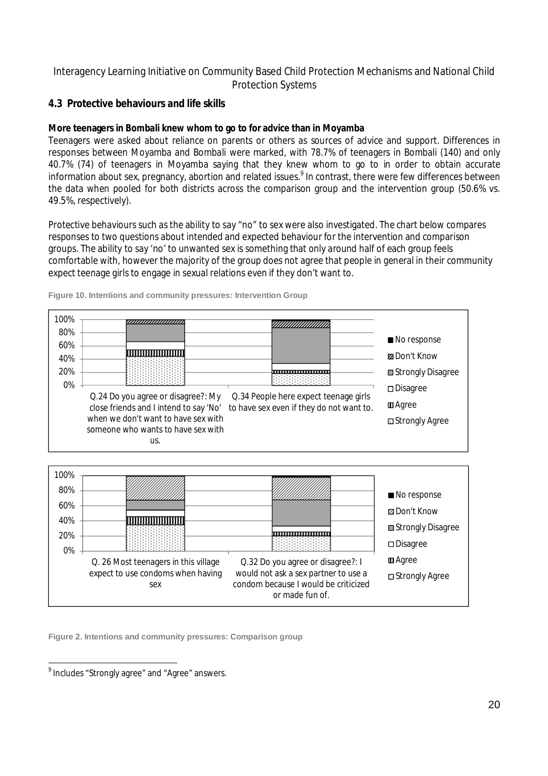### **4.3 Protective behaviours and life skills**

#### **More teenagers in Bombali knew whom to go to for advice than in Moyamba**

Teenagers were asked about reliance on parents or others as sources of advice and support. Differences in responses between Moyamba and Bombali were marked, with 78.7% of teenagers in Bombali (140) and only 40.7% (74) of teenagers in Moyamba saying that they knew whom to go to in order to obtain accurate information about sex, pregnancy, abortion and related issues.<sup>9</sup> In contrast, there were few differences between the data when pooled for both districts across the comparison group and the intervention group (50.6% vs. 49.5%, respectively).

Protective behaviours such as the ability to say "no" to sex were also investigated. The chart below compares responses to two questions about intended and expected behaviour for the intervention and comparison groups. The ability to say 'no' to unwanted sex is something that only around half of each group feels comfortable with, however the majority of the group does not agree that people in general in their community expect teenage girls to engage in sexual relations even if they don't want to.



**Figure 10. Intentions and community pressures: Intervention Group**



**Figure 2. Intentions and community pressures: Comparison group**

<u>。</u><br><sup>9</sup> Includes "Strongly agree" and "Agree" answers.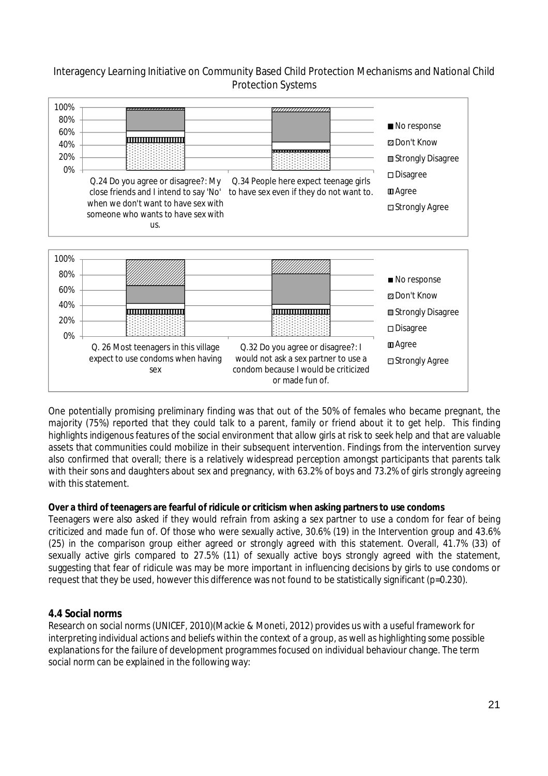

One potentially promising preliminary finding was that out of the 50% of females who became pregnant, the majority (75%) reported that they could talk to a parent, family or friend about it to get help. This finding highlights indigenous features of the social environment that allow girls at risk to seek help and that are valuable assets that communities could mobilize in their subsequent intervention. Findings from the intervention survey also confirmed that overall; there is a relatively widespread perception amongst participants that parents talk with their sons and daughters about sex and pregnancy, with 63.2% of boys and 73.2% of girls strongly agreeing with this statement.

#### **Over a third of teenagers are fearful of ridicule or criticism when asking partners to use condoms**

Teenagers were also asked if they would refrain from asking a sex partner to use a condom for fear of being criticized and made fun of. Of those who were sexually active, 30.6% (19) in the Intervention group and 43.6% (25) in the comparison group either agreed or strongly agreed with this statement. Overall, 41.7% (33) of sexually active girls compared to 27.5% (11) of sexually active boys strongly agreed with the statement, suggesting that fear of ridicule was may be more important in influencing decisions by girls to use condoms or request that they be used, however this difference was not found to be statistically significant (p=0.230).

### **4.4 Social norms**

Research on social norms (UNICEF, 2010)(Mackie & Moneti, 2012) provides us with a useful framework for interpreting individual actions and beliefs within the context of a group, as well as highlighting some possible explanations for the failure of development programmes focused on individual behaviour change. The term social norm can be explained in the following way: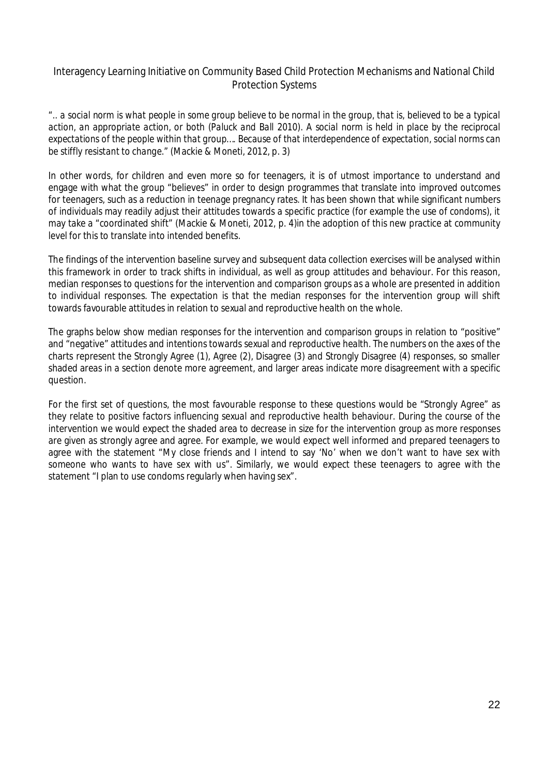*".. a social norm is what people in some group believe to be normal in the group, that is, believed to be a typical action, an appropriate action, or both (Paluck and Ball 2010). A social norm is held in place by the reciprocal expectations of the people within that group…. Because of that interdependence of expectation, social norms can be stiffly resistant to change.*" (Mackie & Moneti, 2012, p. 3)

In other words, for children and even more so for teenagers, it is of utmost importance to understand and engage with what the group "believes" in order to design programmes that translate into improved outcomes for teenagers, such as a reduction in teenage pregnancy rates. It has been shown that while significant numbers of individuals may readily adjust their attitudes towards a specific practice (for example the use of condoms), it may take a "coordinated shift" (Mackie & Moneti, 2012, p. 4)in the adoption of this new practice at community level for this to translate into intended benefits.

The findings of the intervention baseline survey and subsequent data collection exercises will be analysed within this framework in order to track shifts in individual, as well as group attitudes and behaviour. For this reason, median responses to questions for the intervention and comparison groups as a whole are presented in addition to individual responses. The expectation is that the median responses for the intervention group will shift towards favourable attitudes in relation to sexual and reproductive health on the whole.

The graphs below show median responses for the intervention and comparison groups in relation to "positive" and "negative" attitudes and intentions towards sexual and reproductive health. The numbers on the axes of the charts represent the Strongly Agree (1), Agree (2), Disagree (3) and Strongly Disagree (4) responses, so smaller shaded areas in a section denote more agreement, and larger areas indicate more disagreement with a specific question.

For the first set of questions, the most favourable response to these questions would be "Strongly Agree" as they relate to positive factors influencing sexual and reproductive health behaviour. During the course of the intervention we would expect the shaded area to *decrease* in size for the intervention group as more responses are given as strongly agree and agree. For example, we would expect well informed and prepared teenagers to agree with the statement "My close friends and I intend to say 'No' when we don't want to have sex with someone who wants to have sex with us". Similarly, we would expect these teenagers to agree with the statement "I plan to use condoms regularly when having sex".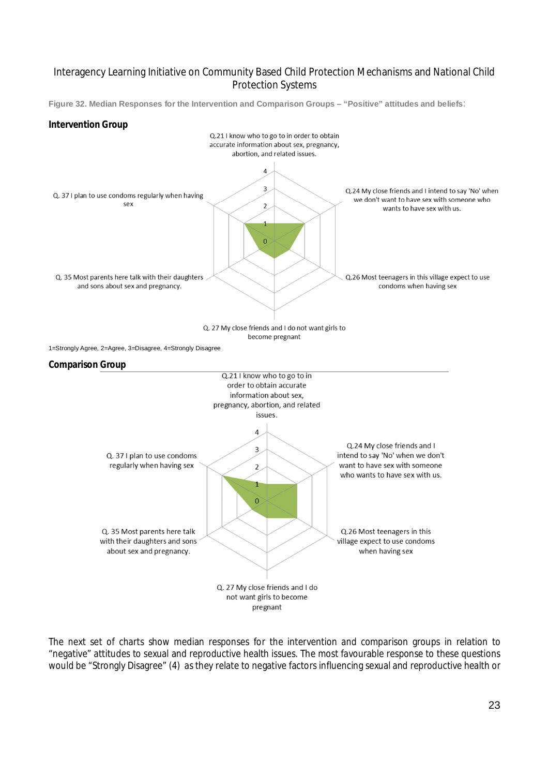**Figure 32. Median Responses for the Intervention and Comparison Groups – "Positive" attitudes and beliefs**:

#### **Intervention Group**



The next set of charts show median responses for the intervention and comparison groups in relation to "negative" attitudes to sexual and reproductive health issues. The most favourable response to these questions would be "Strongly Disagree" (4) as they relate to negative factors influencing sexual and reproductive health or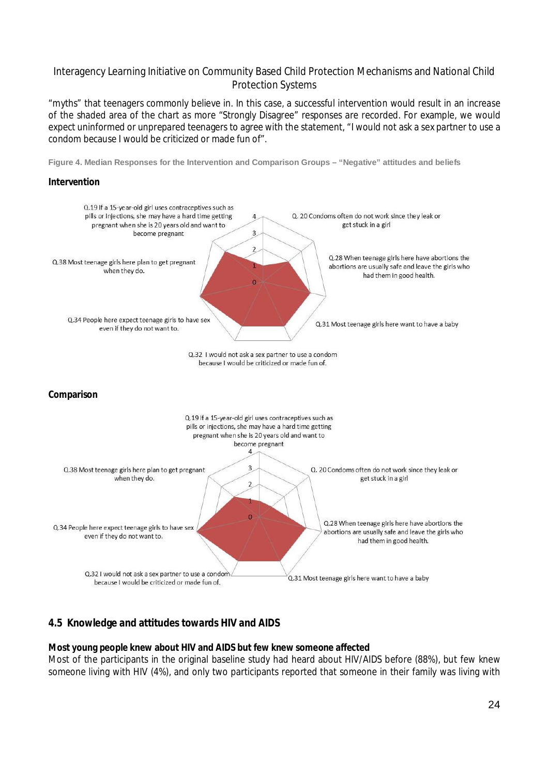"myths" that teenagers commonly believe in. In this case, a successful intervention would result in an *increase* of the shaded area of the chart as more "Strongly Disagree" responses are recorded. For example, we would expect uninformed or unprepared teenagers to agree with the statement, "I would not ask a sex partner to use a condom because I would be criticized or made fun of".

**Figure 4. Median Responses for the Intervention and Comparison Groups – "Negative" attitudes and beliefs**

#### **Intervention**



#### **4.5 Knowledge and attitudes towards HIV and AIDS**

#### **Most young people knew about HIV and AIDS but few knew someone affected**

Most of the participants in the original baseline study had heard about HIV/AIDS before (88%), but few knew someone living with HIV (4%), and only two participants reported that someone in their family was living with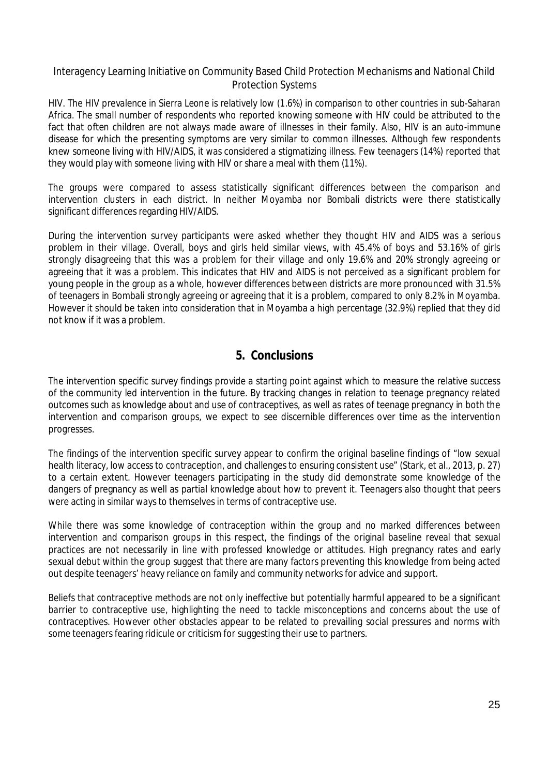HIV. The HIV prevalence in Sierra Leone is relatively low (1.6%) in comparison to other countries in sub-Saharan Africa. The small number of respondents who reported knowing someone with HIV could be attributed to the fact that often children are not always made aware of illnesses in their family. Also, HIV is an auto-immune disease for which the presenting symptoms are very similar to common illnesses. Although few respondents knew someone living with HIV/AIDS, it was considered a stigmatizing illness. Few teenagers (14%) reported that they would play with someone living with HIV or share a meal with them (11%).

The groups were compared to assess statistically significant differences between the comparison and intervention clusters in each district. In neither Moyamba nor Bombali districts were there statistically significant differences regarding HIV/AIDS.

During the intervention survey participants were asked whether they thought HIV and AIDS was a serious problem in their village. Overall, boys and girls held similar views, with 45.4% of boys and 53.16% of girls strongly disagreeing that this was a problem for their village and only 19.6% and 20% strongly agreeing or agreeing that it was a problem. This indicates that HIV and AIDS is not perceived as a significant problem for young people in the group as a whole, however differences between districts are more pronounced with 31.5% of teenagers in Bombali strongly agreeing or agreeing that it is a problem, compared to only 8.2% in Moyamba. However it should be taken into consideration that in Moyamba a high percentage (32.9%) replied that they did not know if it was a problem.

### **5. Conclusions**

The intervention specific survey findings provide a starting point against which to measure the relative success of the community led intervention in the future. By tracking changes in relation to teenage pregnancy related outcomes such as knowledge about and use of contraceptives, as well as rates of teenage pregnancy in both the intervention and comparison groups, we expect to see discernible differences over time as the intervention progresses.

The findings of the intervention specific survey appear to confirm the original baseline findings of "low sexual health literacy, low access to contraception, and challenges to ensuring consistent use" (Stark, et al., 2013, p. 27) to a certain extent. However teenagers participating in the study did demonstrate some knowledge of the dangers of pregnancy as well as partial knowledge about how to prevent it. Teenagers also thought that peers were acting in similar ways to themselves in terms of contraceptive use.

While there was some knowledge of contraception within the group and no marked differences between intervention and comparison groups in this respect, the findings of the original baseline reveal that sexual practices are not necessarily in line with professed knowledge or attitudes. High pregnancy rates and early sexual debut within the group suggest that there are many factors preventing this knowledge from being acted out despite teenagers' heavy reliance on family and community networks for advice and support.

Beliefs that contraceptive methods are not only ineffective but potentially harmful appeared to be a significant barrier to contraceptive use, highlighting the need to tackle misconceptions and concerns about the use of contraceptives. However other obstacles appear to be related to prevailing social pressures and norms with some teenagers fearing ridicule or criticism for suggesting their use to partners.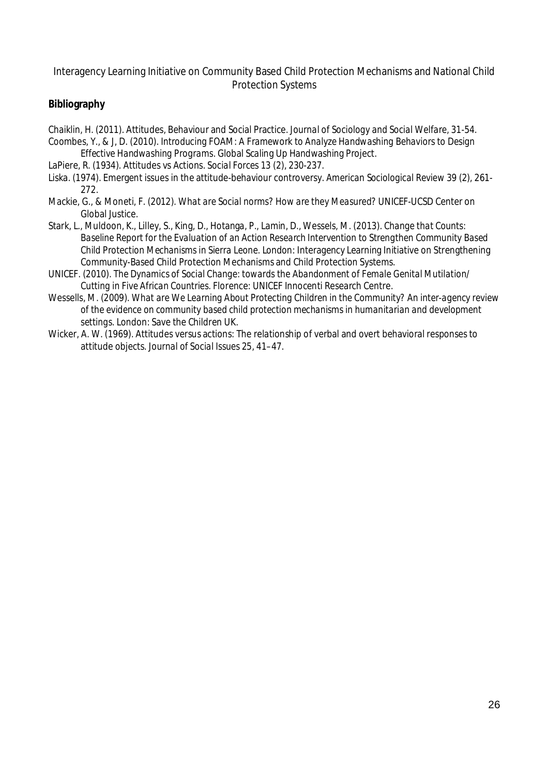### **Bibliography**

Chaiklin, H. (2011). Attitudes, Behaviour and Social Practice. *Journal of Sociology and Social Welfare*, 31-54. Coombes, Y., & J, D. (2010). *Introducing FOAM: A Framework to Analyze Handwashing Behaviors to Design* 

- *Effective Handwashing Programs.* Global Scaling Up Handwashing Project.
- LaPiere, R. (1934). Attitudes vs Actions. *Social Forces 13 (2)*, 230-237.
- Liska. (1974). Emergent issues in the attitude-behaviour controversy. *American Sociological Review 39 (2)*, 261- 272.
- Mackie, G., & Moneti, F. (2012). *What are Social norms? How are they Measured?* UNICEF-UCSD Center on Global Justice.
- Stark, L., Muldoon, K., Lilley, S., King, D., Hotanga, P., Lamin, D., Wessels, M. (2013). *Change that Counts: Baseline Report for the Evaluation of an Action Research Intervention to Strengthen Community Based Child Protection Mechanisms in Sierra Leone.* London: Interagency Learning Initiative on Strengthening Community-Based Child Protection Mechanisms and Child Protection Systems.
- UNICEF. (2010). *The Dynamics of Social Change: towards the Abandonment of Female Genital Mutilation/ Cutting in Five African Countries.* Florence: UNICEF Innocenti Research Centre.
- Wessells, M. (2009). *What are We Learning About Protecting Children in the Community? An inter-agency review of the evidence on community based child protection mechanisms in humanitarian and development settings.* London: Save the Children UK.
- Wicker, A. W. (1969). Attitudes versus actions: The relationship of verbal and overt behavioral responses to attitude objects. *Journal of Social Issues 25*, 41–47.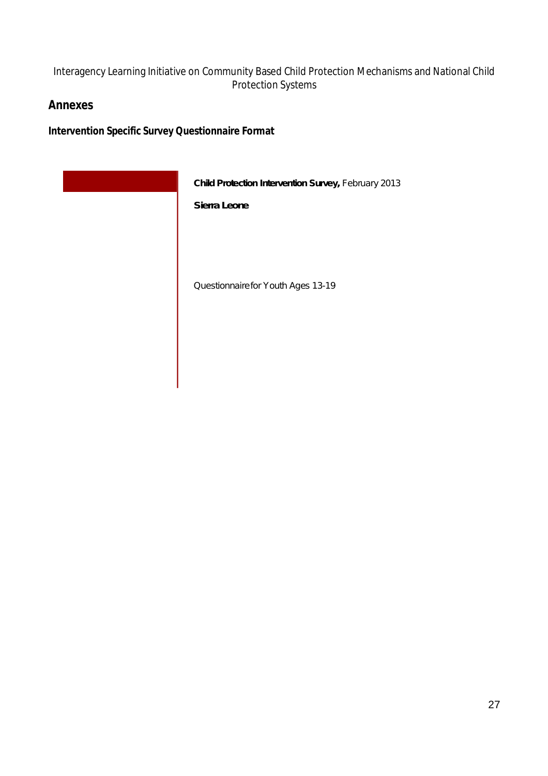### **Annexes**

**Intervention Specific Survey Questionnaire Format**

| Child Protection Intervention Survey, February 2013 |
|-----------------------------------------------------|
| Sierra Leone                                        |
|                                                     |
|                                                     |
| Questionnairefor Youth Ages 13-19                   |
|                                                     |
|                                                     |
|                                                     |
|                                                     |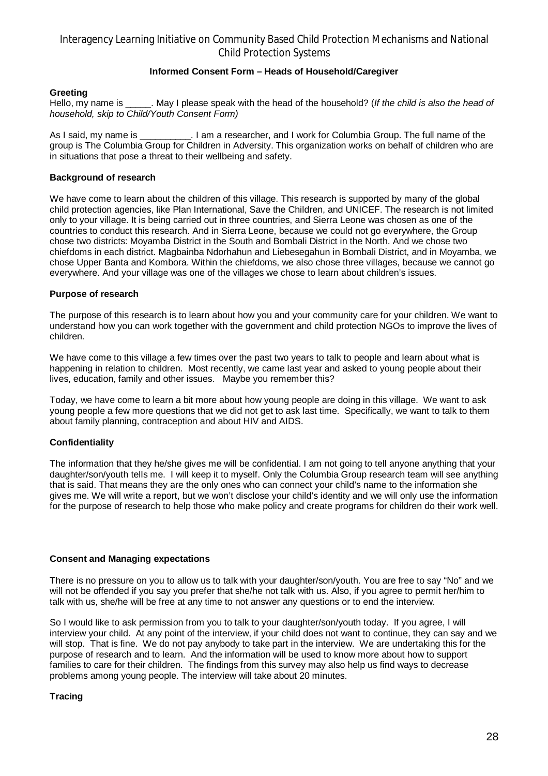#### **Informed Consent Form – Heads of Household/Caregiver**

#### **Greeting**

Hello, my name is May I please speak with the head of the household? (*If the child is also the head of household, skip to Child/Youth Consent Form)*

As I said, my name is \_\_\_\_\_\_\_\_\_\_\_. I am a researcher, and I work for Columbia Group. The full name of the group is The Columbia Group for Children in Adversity. This organization works on behalf of children who are in situations that pose a threat to their wellbeing and safety.

#### **Background of research**

We have come to learn about the children of this village. This research is supported by many of the global child protection agencies, like Plan International, Save the Children, and UNICEF. The research is not limited only to your village. It is being carried out in three countries, and Sierra Leone was chosen as one of the countries to conduct this research. And in Sierra Leone, because we could not go everywhere, the Group chose two districts: Moyamba District in the South and Bombali District in the North. And we chose two chiefdoms in each district. Magbainba Ndorhahun and Liebesegahun in Bombali District, and in Moyamba, we chose Upper Banta and Kombora. Within the chiefdoms, we also chose three villages, because we cannot go everywhere. And your village was one of the villages we chose to learn about children's issues.

#### **Purpose of research**

The purpose of this research is to learn about how you and your community care for your children. We want to understand how you can work together with the government and child protection NGOs to improve the lives of children.

We have come to this village a few times over the past two years to talk to people and learn about what is happening in relation to children. Most recently, we came last year and asked to young people about their lives, education, family and other issues. Maybe you remember this?

Today, we have come to learn a bit more about how young people are doing in this village. We want to ask young people a few more questions that we did not get to ask last time. Specifically, we want to talk to them about family planning, contraception and about HIV and AIDS.

#### **Confidentiality**

The information that they he/she gives me will be confidential. I am not going to tell anyone anything that your daughter/son/youth tells me. I will keep it to myself. Only the Columbia Group research team will see anything that is said. That means they are the only ones who can connect your child's name to the information she gives me. We will write a report, but we won't disclose your child's identity and we will only use the information for the purpose of research to help those who make policy and create programs for children do their work well.

#### **Consent and Managing expectations**

There is no pressure on you to allow us to talk with your daughter/son/youth. You are free to say "No" and we will not be offended if you say you prefer that she/he not talk with us. Also, if you agree to permit her/him to talk with us, she/he will be free at any time to not answer any questions or to end the interview.

So I would like to ask permission from you to talk to your daughter/son/youth today. If you agree, I will interview your child. At any point of the interview, if your child does not want to continue, they can say and we will stop. That is fine. We do not pay anybody to take part in the interview. We are undertaking this for the purpose of research and to learn. And the information will be used to know more about how to support families to care for their children. The findings from this survey may also help us find ways to decrease problems among young people. The interview will take about 20 minutes.

#### **Tracing**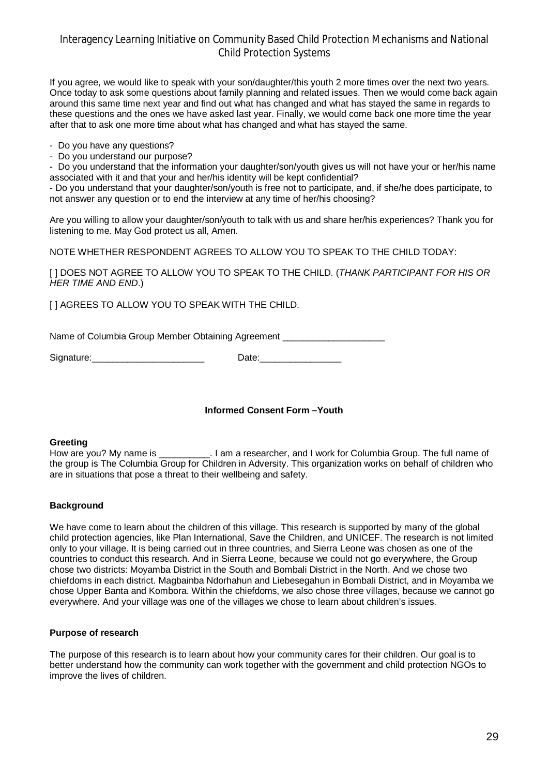If you agree, we would like to speak with your son/daughter/this youth 2 more times over the next two years. Once today to ask some questions about family planning and related issues. Then we would come back again around this same time next year and find out what has changed and what has stayed the same in regards to these questions and the ones we have asked last year. Finally, we would come back one more time the year after that to ask one more time about what has changed and what has stayed the same.

- Do you have any questions?
- Do you understand our purpose?

- Do you understand that the information your daughter/son/youth gives us will not have your or her/his name associated with it and that your and her/his identity will be kept confidential?

- Do you understand that your daughter/son/youth is free not to participate, and, if she/he does participate, to not answer any question or to end the interview at any time of her/his choosing?

Are you willing to allow your daughter/son/youth to talk with us and share her/his experiences? Thank you for listening to me. May God protect us all, Amen.

NOTE WHETHER RESPONDENT AGREES TO ALLOW YOU TO SPEAK TO THE CHILD TODAY:

[ ] DOES NOT AGREE TO ALLOW YOU TO SPEAK TO THE CHILD. (*THANK PARTICIPANT FOR HIS OR HER TIME AND END*.)

[ ] AGREES TO ALLOW YOU TO SPEAK WITH THE CHILD.

Name of Columbia Group Member Obtaining Agreement \_\_\_\_\_\_\_\_\_\_\_\_\_\_\_\_\_\_\_\_\_\_\_\_\_\_\_\_\_\_

Signature:\_\_\_\_\_\_\_\_\_\_\_\_\_\_\_\_\_\_\_\_\_\_ Date:\_\_\_\_\_\_\_\_\_\_\_\_\_\_\_\_

#### **Informed Consent Form –Youth**

**Greeting**<br>How are you? My name is . I am a researcher, and I work for Columbia Group. The full name of the group is The Columbia Group for Children in Adversity. This organization works on behalf of children who are in situations that pose a threat to their wellbeing and safety.

#### **Background**

We have come to learn about the children of this village. This research is supported by many of the global child protection agencies, like Plan International, Save the Children, and UNICEF. The research is not limited only to your village. It is being carried out in three countries, and Sierra Leone was chosen as one of the countries to conduct this research. And in Sierra Leone, because we could not go everywhere, the Group chose two districts: Moyamba District in the South and Bombali District in the North. And we chose two chiefdoms in each district. Magbainba Ndorhahun and Liebesegahun in Bombali District, and in Moyamba we chose Upper Banta and Kombora. Within the chiefdoms, we also chose three villages, because we cannot go everywhere. And your village was one of the villages we chose to learn about children's issues.

#### **Purpose of research**

The purpose of this research is to learn about how your community cares for their children. Our goal is to better understand how the community can work together with the government and child protection NGOs to improve the lives of children.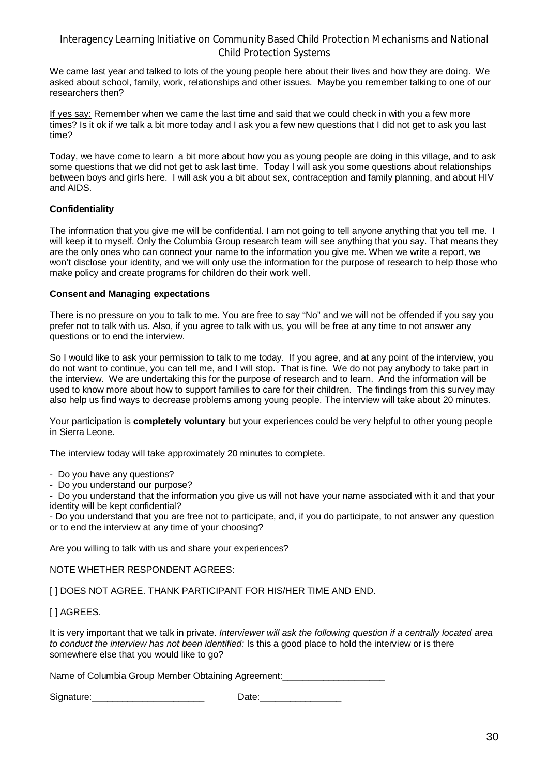We came last year and talked to lots of the young people here about their lives and how they are doing. We asked about school, family, work, relationships and other issues. Maybe you remember talking to one of our researchers then?

If yes say: Remember when we came the last time and said that we could check in with you a few more times? Is it ok if we talk a bit more today and I ask you a few new questions that I did not get to ask you last time?

Today, we have come to learn a bit more about how you as young people are doing in this village, and to ask some questions that we did not get to ask last time. Today I will ask you some questions about relationships between boys and girls here. I will ask you a bit about sex, contraception and family planning, and about HIV and AIDS.

#### **Confidentiality**

The information that you give me will be confidential. I am not going to tell anyone anything that you tell me. I will keep it to myself. Only the Columbia Group research team will see anything that you say. That means they are the only ones who can connect your name to the information you give me. When we write a report, we won't disclose your identity, and we will only use the information for the purpose of research to help those who make policy and create programs for children do their work well.

#### **Consent and Managing expectations**

There is no pressure on you to talk to me. You are free to say "No" and we will not be offended if you say you prefer not to talk with us. Also, if you agree to talk with us, you will be free at any time to not answer any questions or to end the interview.

So I would like to ask your permission to talk to me today. If you agree, and at any point of the interview, you do not want to continue, you can tell me, and I will stop. That is fine. We do not pay anybody to take part in the interview. We are undertaking this for the purpose of research and to learn. And the information will be used to know more about how to support families to care for their children. The findings from this survey may also help us find ways to decrease problems among young people. The interview will take about 20 minutes.

Your participation is **completely voluntary** but your experiences could be very helpful to other young people in Sierra Leone.

The interview today will take approximately 20 minutes to complete.

- Do you have any questions?

- Do you understand our purpose?

- Do you understand that the information you give us will not have your name associated with it and that your identity will be kept confidential?

- Do you understand that you are free not to participate, and, if you do participate, to not answer any question or to end the interview at any time of your choosing?

Are you willing to talk with us and share your experiences?

NOTE WHETHER RESPONDENT AGREES:

[ ] DOES NOT AGREE. THANK PARTICIPANT FOR HIS/HER TIME AND END.

[ ] AGREES.

It is very important that we talk in private. *Interviewer will ask the following question if a centrally located area to conduct the interview has not been identified:* Is this a good place to hold the interview or is there somewhere else that you would like to go?

Name of Columbia Group Member Obtaining Agreement:

Signature: \_\_\_\_\_\_\_\_\_\_\_\_\_\_\_\_\_\_\_\_\_\_\_\_\_\_\_\_\_\_\_\_\_ Date: \_\_\_\_\_\_\_\_\_\_\_\_\_\_\_\_\_\_\_\_\_\_\_\_\_\_\_\_\_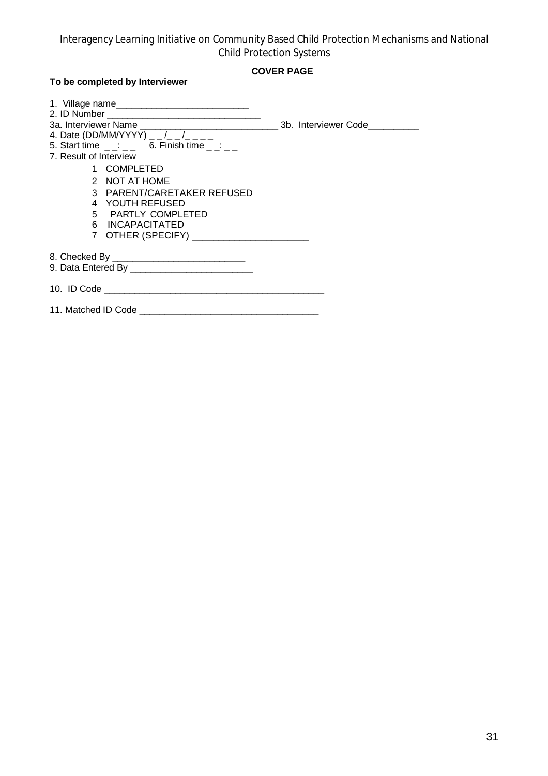### **COVER PAGE**

### **To be completed by Interviewer**

| 4. Date (DD/MM/YYYY) _ _ /_ _ /_ _ _       |  |
|--------------------------------------------|--|
| 5. Start time : 6. Finish time :           |  |
| 7. Result of Interview                     |  |
| 1 COMPLETED                                |  |
| 2 NOT AT HOME                              |  |
| 3 PARENT/CARETAKER REFUSED                 |  |
| 4 YOUTH REFUSED                            |  |
| 5 PARTLY COMPLETED                         |  |
| 6 INCAPACITATED                            |  |
| 7 OTHER (SPECIFY) ________________________ |  |
|                                            |  |
|                                            |  |
|                                            |  |
|                                            |  |
|                                            |  |
|                                            |  |
|                                            |  |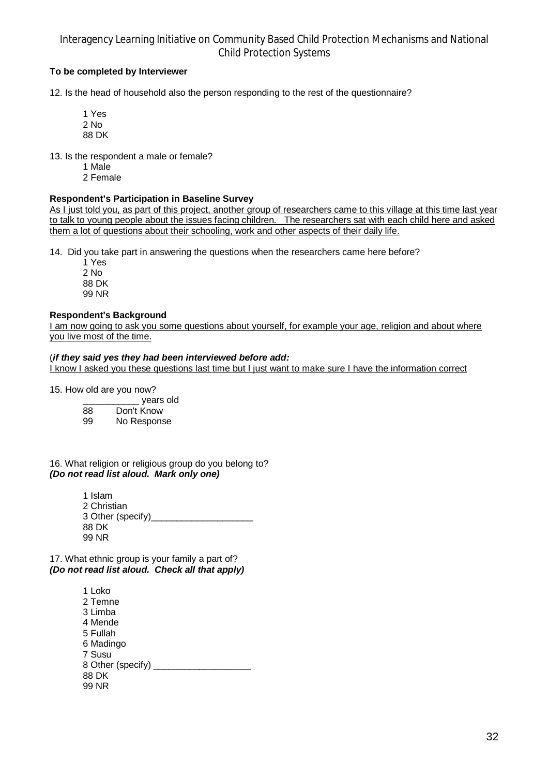#### **To be completed by Interviewer**

12. Is the head of household also the person responding to the rest of the questionnaire?

1 Yes 2 No 88 DK

13. Is the respondent a male or female?

- 1 Male
- 2 Female

#### **Respondent's Participation in Baseline Survey**

As I just told you, as part of this project, another group of researchers came to this village at this time last year to talk to young people about the issues facing children. The researchers sat with each child here and asked them a lot of questions about their schooling, work and other aspects of their daily life.

14. Did you take part in answering the questions when the researchers came here before?

1 Yes 2 No 88 DK 99 NR

#### **Respondent's Background**

I am now going to ask you some questions about yourself, for example your age, religion and about where you live most of the time.

#### (*if they said yes they had been interviewed before add:*

I know I asked you these questions last time but I just want to make sure I have the information correct

15. How old are you now?

|    | years old  |
|----|------------|
| 88 | Don't Know |

88 Don't Know No Response

16. What religion or religious group do you belong to? *(Do not read list aloud. Mark only one)*

> 1 Islam 2 Christian 3 Other (specify) 88 DK 99 NR

17. What ethnic group is your family a part of? *(Do not read list aloud. Check all that apply)*

> 1 Loko 2 Temne 3 Limba 4 Mende 5 Fullah 6 Madingo 7 Susu 8 Other (specify) \_\_\_\_\_\_\_\_\_\_\_\_\_\_\_\_\_\_\_ 88 DK 99 NR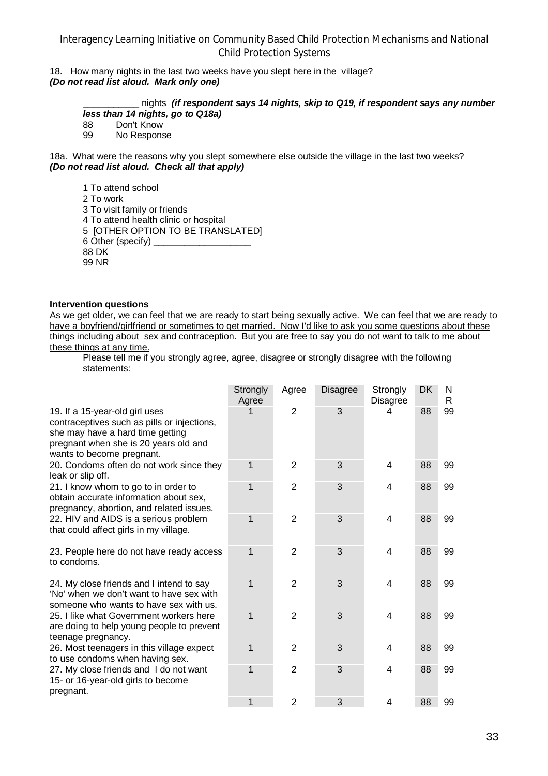18. How many nights in the last two weeks have you slept here in the village? *(Do not read list aloud. Mark only one)*

> \_\_\_\_\_\_\_\_\_\_\_ nights *(if respondent says 14 nights, skip to Q19, if respondent says any number less than 14 nights, go to Q18a)*

88 Don't Know<br>99 No Respons

No Response

18a. What were the reasons why you slept somewhere else outside the village in the last two weeks? *(Do not read list aloud. Check all that apply)*

1 To attend school 2 To work 3 To visit family or friends 4 To attend health clinic or hospital 5 [OTHER OPTION TO BE TRANSLATED] 6 Other (specify) \_\_\_\_\_\_\_\_\_\_\_\_\_\_\_\_\_\_\_ 88 DK 99 NR

#### **Intervention questions**

As we get older, we can feel that we are ready to start being sexually active. We can feel that we are ready to have a boyfriend/girlfriend or sometimes to get married. Now I'd like to ask you some questions about these things including about sex and contraception. But you are free to say you do not want to talk to me about these things at any time.

Please tell me if you strongly agree, agree, disagree or strongly disagree with the following statements:

|                                                                                                                                                                                         | Strongly<br>Agree | Agree          | Disagree | Strongly<br>Disagree | DK | N<br>R |
|-----------------------------------------------------------------------------------------------------------------------------------------------------------------------------------------|-------------------|----------------|----------|----------------------|----|--------|
| 19. If a 15-year-old girl uses<br>contraceptives such as pills or injections,<br>she may have a hard time getting<br>pregnant when she is 20 years old and<br>wants to become pregnant. |                   | $\overline{2}$ | 3        | 4                    | 88 | 99     |
| 20. Condoms often do not work since they<br>leak or slip off.                                                                                                                           | 1                 | 2              | 3        | 4                    | 88 | 99     |
| 21. I know whom to go to in order to<br>obtain accurate information about sex,<br>pregnancy, abortion, and related issues.                                                              | 1                 | 2              | 3        | 4                    | 88 | 99     |
| 22. HIV and AIDS is a serious problem<br>that could affect girls in my village.                                                                                                         | 1                 | 2              | 3        | 4                    | 88 | 99     |
| 23. People here do not have ready access<br>to condoms.                                                                                                                                 | 1                 | 2              | 3        | 4                    | 88 | 99     |
| 24. My close friends and I intend to say<br>'No' when we don't want to have sex with<br>someone who wants to have sex with us.                                                          | 1                 | $\overline{2}$ | 3        | 4                    | 88 | 99     |
| 25. I like what Government workers here<br>are doing to help young people to prevent<br>teenage pregnancy.                                                                              | 1                 | $\overline{2}$ | 3        | $\overline{4}$       | 88 | 99     |
| 26. Most teenagers in this village expect<br>to use condoms when having sex.                                                                                                            | 1                 | $\overline{2}$ | 3        | 4                    | 88 | 99     |
| 27. My close friends and I do not want<br>15- or 16-year-old girls to become<br>pregnant.                                                                                               | 1                 | $\overline{2}$ | 3        | 4                    | 88 | 99     |
|                                                                                                                                                                                         | 1                 | $\overline{2}$ | 3        | 4                    | 88 | 99     |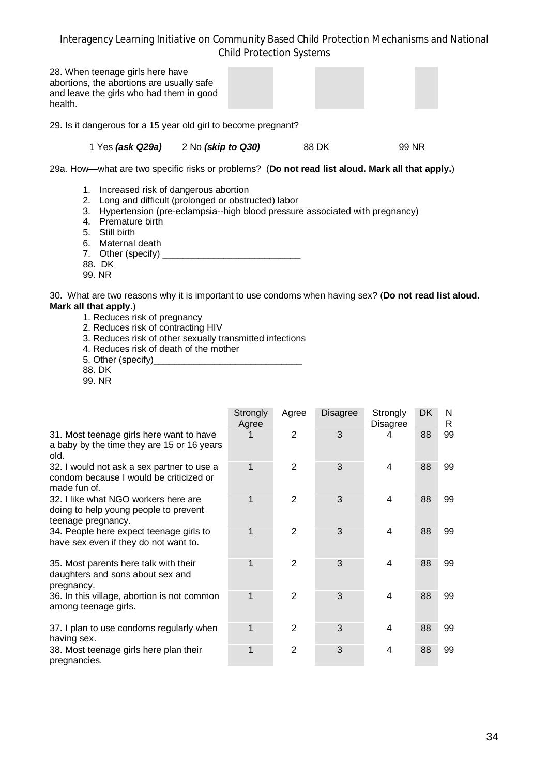| 28. When teenage girls here have<br>abortions, the abortions are usually safe<br>and leave the girls who had them in good<br>health. |                    |       |       |
|--------------------------------------------------------------------------------------------------------------------------------------|--------------------|-------|-------|
| 29. Is it dangerous for a 15 year old girl to become pregnant?                                                                       |                    |       |       |
| 1 Yes (ask Q29a)                                                                                                                     | 2 No (skip to Q30) | 88 DK | 99 NR |
| 29a. How—what are two specific risks or problems? (Do not read list aloud. Mark all that apply.)                                     |                    |       |       |

- 1. Increased risk of dangerous abortion
- 2. Long and difficult (prolonged or obstructed) labor
- 3. Hypertension (pre-eclampsia--high blood pressure associated with pregnancy)
- 4. Premature birth
- 5. Still birth
- 6. Maternal death
- 7. Other (specify) \_\_\_\_\_\_\_\_\_\_\_\_\_\_\_\_\_\_\_\_\_\_\_\_\_\_\_\_\_\_\_
- 88. DK
- 99. NR

30. What are two reasons why it is important to use condoms when having sex? (**Do not read list aloud. Mark all that apply.**)

- 1. Reduces risk of pregnancy
- 2. Reduces risk of contracting HIV
- 3. Reduces risk of other sexually transmitted infections
- 4. Reduces risk of death of the mother
- 5. Other (specify)
- 88. DK
- 99. NR

|                                                                                                       | Strongly<br>Agree | Agree          | Disagree | Strongly<br>Disagree | DK | N<br>R |
|-------------------------------------------------------------------------------------------------------|-------------------|----------------|----------|----------------------|----|--------|
| 31. Most teenage girls here want to have<br>a baby by the time they are 15 or 16 years<br>old.        |                   | 2              | 3        | 4                    | 88 | 99     |
| 32. I would not ask a sex partner to use a<br>condom because I would be criticized or<br>made fun of. | 1                 | 2              | 3        | 4                    | 88 | 99     |
| 32. I like what NGO workers here are<br>doing to help young people to prevent<br>teenage pregnancy.   | 1                 | 2              | 3        | 4                    | 88 | 99     |
| 34. People here expect teenage girls to<br>have sex even if they do not want to.                      | 1                 | 2              | 3        | 4                    | 88 | 99     |
| 35. Most parents here talk with their<br>daughters and sons about sex and<br>pregnancy.               | 1                 | 2              | 3        | 4                    | 88 | 99     |
| 36. In this village, abortion is not common<br>among teenage girls.                                   | 1                 | 2              | 3        | 4                    | 88 | 99     |
| 37. I plan to use condoms regularly when<br>having sex.                                               | 1                 | 2              | 3        | 4                    | 88 | 99     |
| 38. Most teenage girls here plan their<br>pregnancies.                                                | 1                 | $\overline{2}$ | 3        | 4                    | 88 | 99     |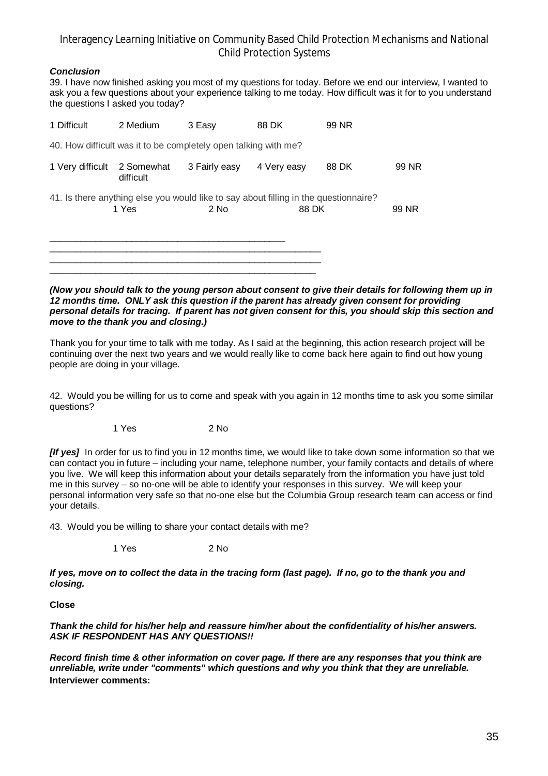#### *Conclusion*

39. I have now finished asking you most of my questions for today. Before we end our interview, I wanted to ask you a few questions about your experience talking to me today. How difficult was it for to you understand the questions I asked you today?

| 1 Difficult      | 2 Medium                                                                                      | 3 Easy        | 88 DK       | 99 NR |       |
|------------------|-----------------------------------------------------------------------------------------------|---------------|-------------|-------|-------|
|                  | 40. How difficult was it to be completely open talking with me?                               |               |             |       |       |
| 1 Very difficult | 2 Somewhat<br>difficult                                                                       | 3 Fairly easy | 4 Very easy | 88 DK | 99 NR |
|                  | 41. Is there anything else you would like to say about filling in the questionnaire?<br>1 Yes | $2$ No        | 88 DK       |       | 99 NR |
|                  |                                                                                               |               |             |       |       |

#### *(Now you should talk to the young person about consent to give their details for following them up in 12 months time. ONLY ask this question if the parent has already given consent for providing personal details for tracing. If parent has not given consent for this, you should skip this section and move to the thank you and closing.)*

Thank you for your time to talk with me today. As I said at the beginning, this action research project will be continuing over the next two years and we would really like to come back here again to find out how young people are doing in your village.

42. Would you be willing for us to come and speak with you again in 12 months time to ask you some similar questions?

1 Yes 2 No

*[If yes]* In order for us to find you in 12 months time, we would like to take down some information so that we can contact you in future – including your name, telephone number, your family contacts and details of where you live. We will keep this information about your details separately from the information you have just told me in this survey – so no-one will be able to identify your responses in this survey. We will keep your personal information very safe so that no-one else but the Columbia Group research team can access or find your details.

43. Would you be willing to share your contact details with me?

1 Yes 2 No

*If yes, move on to collect the data in the tracing form (last page). If no, go to the thank you and closing.*

**Close**

*Thank the child for his/her help and reassure him/her about the confidentiality of his/her answers. ASK IF RESPONDENT HAS ANY QUESTIONS!!*

*Record finish time & other information on cover page. If there are any responses that you think are unreliable, write under "comments" which questions and why you think that they are unreliable.* **Interviewer comments:**